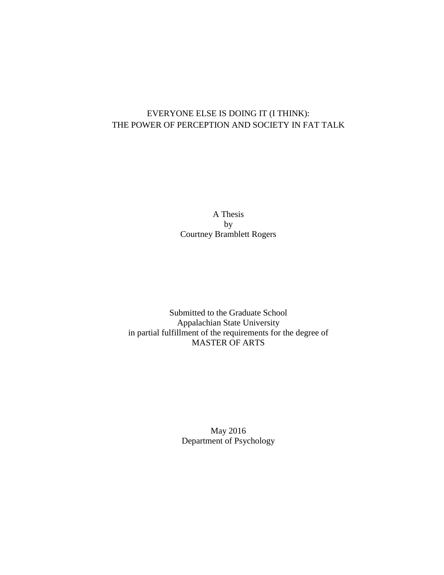# EVERYONE ELSE IS DOING IT (I THINK): THE POWER OF PERCEPTION AND SOCIETY IN FAT TALK

A Thesis by Courtney Bramblett Rogers

Submitted to the Graduate School Appalachian State University in partial fulfillment of the requirements for the degree of MASTER OF ARTS

> May 2016 Department of Psychology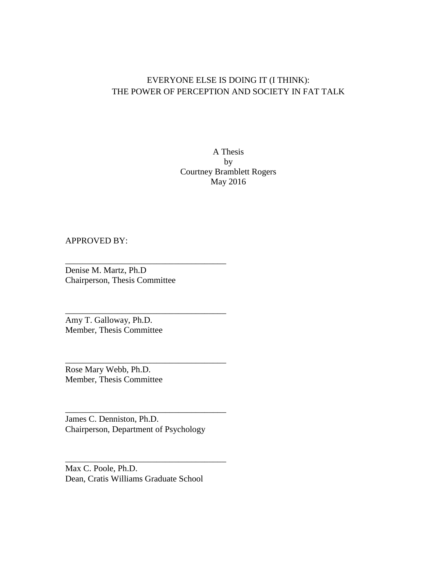## EVERYONE ELSE IS DOING IT (I THINK): THE POWER OF PERCEPTION AND SOCIETY IN FAT TALK

A Thesis by Courtney Bramblett Rogers May 2016

### APPROVED BY:

Denise M. Martz, Ph.D Chairperson, Thesis Committee

\_\_\_\_\_\_\_\_\_\_\_\_\_\_\_\_\_\_\_\_\_\_\_\_\_\_\_\_\_\_\_\_\_\_\_\_\_

\_\_\_\_\_\_\_\_\_\_\_\_\_\_\_\_\_\_\_\_\_\_\_\_\_\_\_\_\_\_\_\_\_\_\_\_\_

\_\_\_\_\_\_\_\_\_\_\_\_\_\_\_\_\_\_\_\_\_\_\_\_\_\_\_\_\_\_\_\_\_\_\_\_\_

\_\_\_\_\_\_\_\_\_\_\_\_\_\_\_\_\_\_\_\_\_\_\_\_\_\_\_\_\_\_\_\_\_\_\_\_\_

\_\_\_\_\_\_\_\_\_\_\_\_\_\_\_\_\_\_\_\_\_\_\_\_\_\_\_\_\_\_\_\_\_\_\_\_\_

Amy T. Galloway, Ph.D. Member, Thesis Committee

Rose Mary Webb, Ph.D. Member, Thesis Committee

James C. Denniston, Ph.D. Chairperson, Department of Psychology

Max C. Poole, Ph.D. Dean, Cratis Williams Graduate School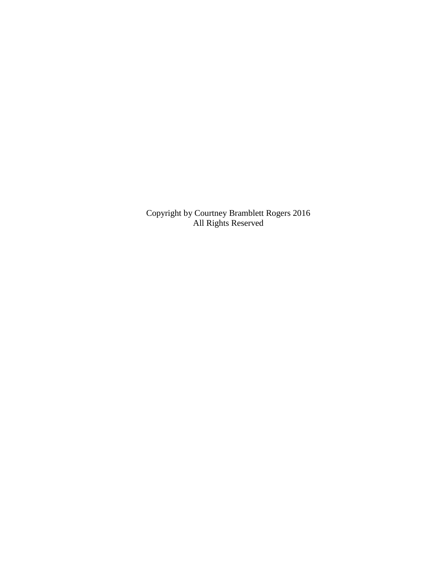Copyright by Courtney Bramblett Rogers 2016 All Rights Reserved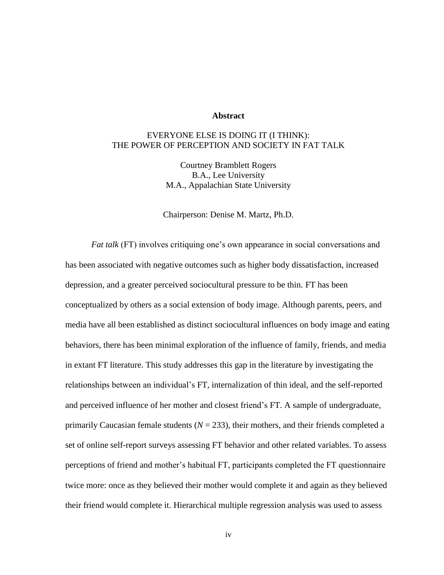### **Abstract**

## EVERYONE ELSE IS DOING IT (I THINK): THE POWER OF PERCEPTION AND SOCIETY IN FAT TALK

Courtney Bramblett Rogers B.A., Lee University M.A., Appalachian State University

Chairperson: Denise M. Martz, Ph.D.

*Fat talk* (FT) involves critiquing one's own appearance in social conversations and has been associated with negative outcomes such as higher body dissatisfaction, increased depression, and a greater perceived sociocultural pressure to be thin. FT has been conceptualized by others as a social extension of body image. Although parents, peers, and media have all been established as distinct sociocultural influences on body image and eating behaviors, there has been minimal exploration of the influence of family, friends, and media in extant FT literature. This study addresses this gap in the literature by investigating the relationships between an individual's FT, internalization of thin ideal, and the self-reported and perceived influence of her mother and closest friend's FT. A sample of undergraduate, primarily Caucasian female students  $(N = 233)$ , their mothers, and their friends completed a set of online self-report surveys assessing FT behavior and other related variables. To assess perceptions of friend and mother's habitual FT, participants completed the FT questionnaire twice more: once as they believed their mother would complete it and again as they believed their friend would complete it. Hierarchical multiple regression analysis was used to assess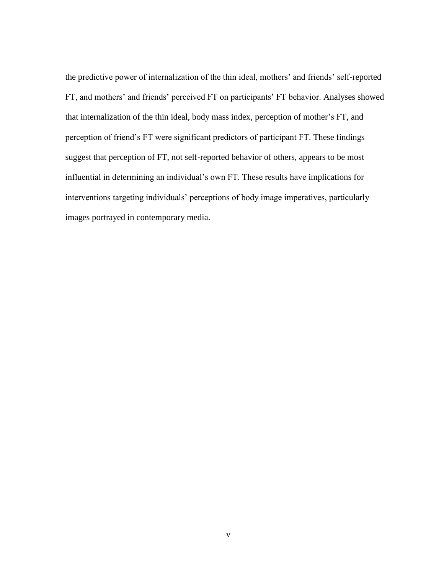the predictive power of internalization of the thin ideal, mothers' and friends' self-reported FT, and mothers' and friends' perceived FT on participants' FT behavior. Analyses showed that internalization of the thin ideal, body mass index, perception of mother's FT, and perception of friend's FT were significant predictors of participant FT. These findings suggest that perception of FT, not self-reported behavior of others, appears to be most influential in determining an individual's own FT. These results have implications for interventions targeting individuals' perceptions of body image imperatives, particularly images portrayed in contemporary media.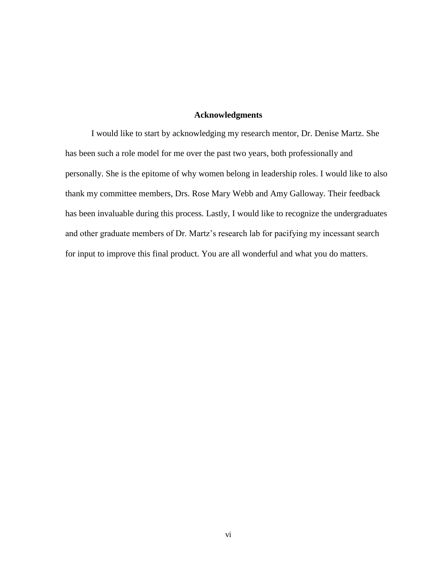### **Acknowledgments**

I would like to start by acknowledging my research mentor, Dr. Denise Martz. She has been such a role model for me over the past two years, both professionally and personally. She is the epitome of why women belong in leadership roles. I would like to also thank my committee members, Drs. Rose Mary Webb and Amy Galloway. Their feedback has been invaluable during this process. Lastly, I would like to recognize the undergraduates and other graduate members of Dr. Martz's research lab for pacifying my incessant search for input to improve this final product. You are all wonderful and what you do matters.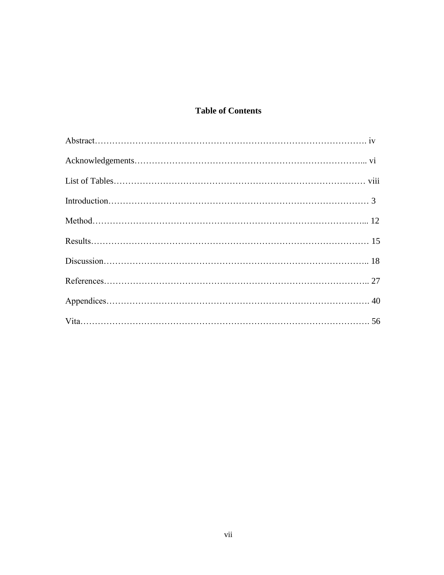## **Table of Contents**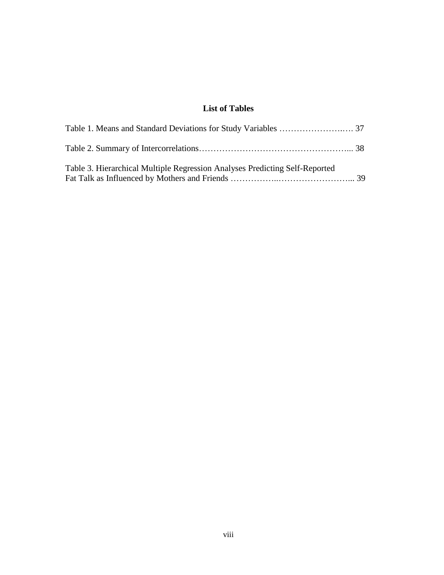## **List of Tables**

| Table 3. Hierarchical Multiple Regression Analyses Predicting Self-Reported |  |
|-----------------------------------------------------------------------------|--|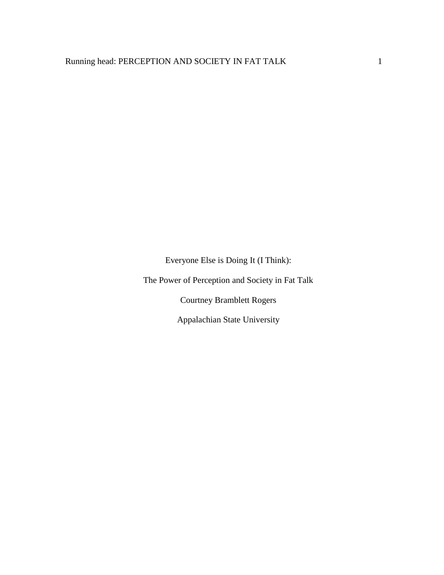Everyone Else is Doing It (I Think):

The Power of Perception and Society in Fat Talk

Courtney Bramblett Rogers

Appalachian State University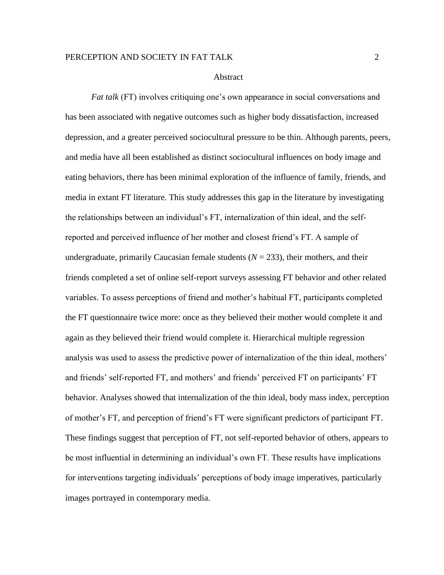#### Abstract

*Fat talk* (FT) involves critiquing one's own appearance in social conversations and has been associated with negative outcomes such as higher body dissatisfaction, increased depression, and a greater perceived sociocultural pressure to be thin. Although parents, peers, and media have all been established as distinct sociocultural influences on body image and eating behaviors, there has been minimal exploration of the influence of family, friends, and media in extant FT literature. This study addresses this gap in the literature by investigating the relationships between an individual's FT, internalization of thin ideal, and the selfreported and perceived influence of her mother and closest friend's FT. A sample of undergraduate, primarily Caucasian female students  $(N = 233)$ , their mothers, and their friends completed a set of online self-report surveys assessing FT behavior and other related variables. To assess perceptions of friend and mother's habitual FT, participants completed the FT questionnaire twice more: once as they believed their mother would complete it and again as they believed their friend would complete it. Hierarchical multiple regression analysis was used to assess the predictive power of internalization of the thin ideal, mothers' and friends' self-reported FT, and mothers' and friends' perceived FT on participants' FT behavior. Analyses showed that internalization of the thin ideal, body mass index, perception of mother's FT, and perception of friend's FT were significant predictors of participant FT. These findings suggest that perception of FT, not self-reported behavior of others, appears to be most influential in determining an individual's own FT. These results have implications for interventions targeting individuals' perceptions of body image imperatives, particularly images portrayed in contemporary media.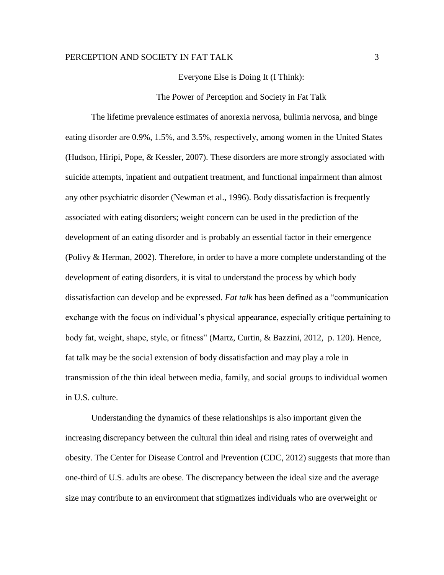#### Everyone Else is Doing It (I Think):

The Power of Perception and Society in Fat Talk

The lifetime prevalence estimates of anorexia nervosa, bulimia nervosa, and binge eating disorder are 0.9%, 1.5%, and 3.5%, respectively, among women in the United States (Hudson, Hiripi, Pope, & Kessler, 2007). These disorders are more strongly associated with suicide attempts, inpatient and outpatient treatment, and functional impairment than almost any other psychiatric disorder (Newman et al., 1996). Body dissatisfaction is frequently associated with eating disorders; weight concern can be used in the prediction of the development of an eating disorder and is probably an essential factor in their emergence (Polivy & Herman, 2002). Therefore, in order to have a more complete understanding of the development of eating disorders, it is vital to understand the process by which body dissatisfaction can develop and be expressed. *Fat talk* has been defined as a "communication exchange with the focus on individual's physical appearance, especially critique pertaining to body fat, weight, shape, style, or fitness" (Martz, Curtin, & Bazzini, 2012, p. 120). Hence, fat talk may be the social extension of body dissatisfaction and may play a role in transmission of the thin ideal between media, family, and social groups to individual women in U.S. culture.

Understanding the dynamics of these relationships is also important given the increasing discrepancy between the cultural thin ideal and rising rates of overweight and obesity. The Center for Disease Control and Prevention (CDC, 2012) suggests that more than one-third of U.S. adults are obese. The discrepancy between the ideal size and the average size may contribute to an environment that stigmatizes individuals who are overweight or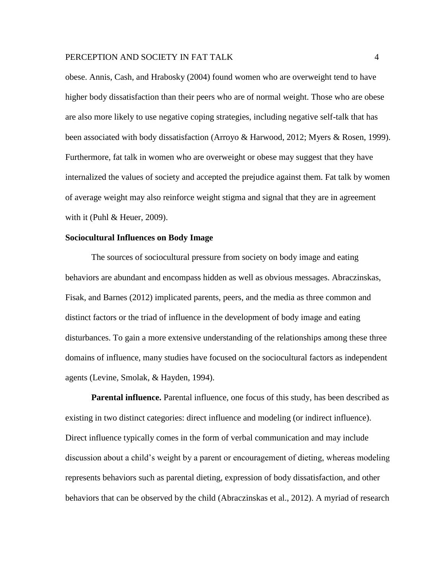obese. Annis, Cash, and Hrabosky (2004) found women who are overweight tend to have higher body dissatisfaction than their peers who are of normal weight. Those who are obese are also more likely to use negative coping strategies, including negative self-talk that has been associated with body dissatisfaction (Arroyo & Harwood, 2012; Myers & Rosen, 1999). Furthermore, fat talk in women who are overweight or obese may suggest that they have internalized the values of society and accepted the prejudice against them. Fat talk by women of average weight may also reinforce weight stigma and signal that they are in agreement with it (Puhl & Heuer, 2009).

### **Sociocultural Influences on Body Image**

The sources of sociocultural pressure from society on body image and eating behaviors are abundant and encompass hidden as well as obvious messages. Abraczinskas, Fisak, and Barnes (2012) implicated parents, peers, and the media as three common and distinct factors or the triad of influence in the development of body image and eating disturbances. To gain a more extensive understanding of the relationships among these three domains of influence, many studies have focused on the sociocultural factors as independent agents (Levine, Smolak, & Hayden, 1994).

**Parental influence.** Parental influence, one focus of this study, has been described as existing in two distinct categories: direct influence and modeling (or indirect influence). Direct influence typically comes in the form of verbal communication and may include discussion about a child's weight by a parent or encouragement of dieting, whereas modeling represents behaviors such as parental dieting, expression of body dissatisfaction, and other behaviors that can be observed by the child (Abraczinskas et al., 2012). A myriad of research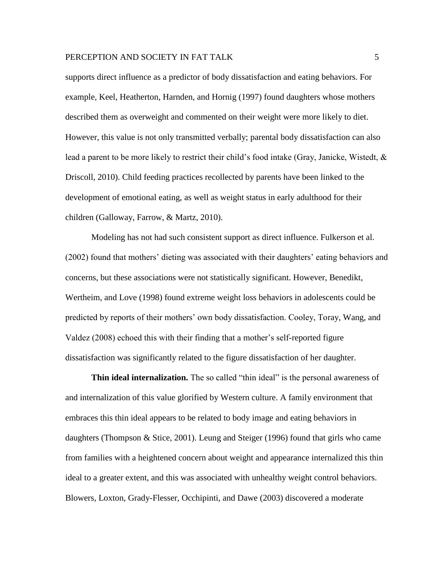supports direct influence as a predictor of body dissatisfaction and eating behaviors. For example, Keel, Heatherton, Harnden, and Hornig (1997) found daughters whose mothers described them as overweight and commented on their weight were more likely to diet. However, this value is not only transmitted verbally; parental body dissatisfaction can also lead a parent to be more likely to restrict their child's food intake (Gray, Janicke, Wistedt, & Driscoll, 2010). Child feeding practices recollected by parents have been linked to the development of emotional eating, as well as weight status in early adulthood for their children (Galloway, Farrow, & Martz, 2010).

Modeling has not had such consistent support as direct influence. Fulkerson et al. (2002) found that mothers' dieting was associated with their daughters' eating behaviors and concerns, but these associations were not statistically significant. However, Benedikt, Wertheim, and Love (1998) found extreme weight loss behaviors in adolescents could be predicted by reports of their mothers' own body dissatisfaction. Cooley, Toray, Wang, and Valdez (2008) echoed this with their finding that a mother's self-reported figure dissatisfaction was significantly related to the figure dissatisfaction of her daughter.

**Thin ideal internalization.** The so called "thin ideal" is the personal awareness of and internalization of this value glorified by Western culture. A family environment that embraces this thin ideal appears to be related to body image and eating behaviors in daughters (Thompson & Stice, 2001). Leung and Steiger (1996) found that girls who came from families with a heightened concern about weight and appearance internalized this thin ideal to a greater extent, and this was associated with unhealthy weight control behaviors. Blowers, Loxton, Grady-Flesser, Occhipinti, and Dawe (2003) discovered a moderate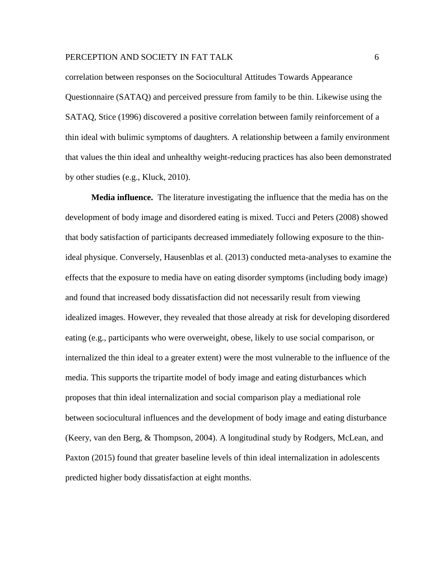correlation between responses on the Sociocultural Attitudes Towards Appearance Questionnaire (SATAQ) and perceived pressure from family to be thin. Likewise using the SATAQ, Stice (1996) discovered a positive correlation between family reinforcement of a thin ideal with bulimic symptoms of daughters. A relationship between a family environment that values the thin ideal and unhealthy weight-reducing practices has also been demonstrated by other studies (e.g., Kluck, 2010).

**Media influence.** The literature investigating the influence that the media has on the development of body image and disordered eating is mixed. Tucci and Peters (2008) showed that body satisfaction of participants decreased immediately following exposure to the thinideal physique. Conversely, Hausenblas et al. (2013) conducted meta-analyses to examine the effects that the exposure to media have on eating disorder symptoms (including body image) and found that increased body dissatisfaction did not necessarily result from viewing idealized images. However, they revealed that those already at risk for developing disordered eating (e.g., participants who were overweight, obese, likely to use social comparison, or internalized the thin ideal to a greater extent) were the most vulnerable to the influence of the media. This supports the tripartite model of body image and eating disturbances which proposes that thin ideal internalization and social comparison play a mediational role between sociocultural influences and the development of body image and eating disturbance (Keery, van den Berg, & Thompson, 2004). A longitudinal study by Rodgers, McLean, and Paxton (2015) found that greater baseline levels of thin ideal internalization in adolescents predicted higher body dissatisfaction at eight months.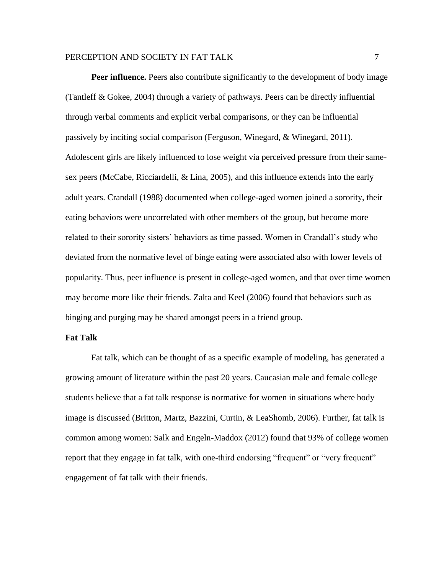**Peer influence.** Peers also contribute significantly to the development of body image (Tantleff & Gokee, 2004) through a variety of pathways. Peers can be directly influential through verbal comments and explicit verbal comparisons, or they can be influential passively by inciting social comparison (Ferguson, Winegard, & Winegard, 2011). Adolescent girls are likely influenced to lose weight via perceived pressure from their samesex peers (McCabe, Ricciardelli, & Lina, 2005), and this influence extends into the early adult years. Crandall (1988) documented when college-aged women joined a sorority, their eating behaviors were uncorrelated with other members of the group, but become more related to their sorority sisters' behaviors as time passed. Women in Crandall's study who deviated from the normative level of binge eating were associated also with lower levels of popularity. Thus, peer influence is present in college-aged women, and that over time women may become more like their friends. Zalta and Keel (2006) found that behaviors such as binging and purging may be shared amongst peers in a friend group.

### **Fat Talk**

Fat talk, which can be thought of as a specific example of modeling, has generated a growing amount of literature within the past 20 years. Caucasian male and female college students believe that a fat talk response is normative for women in situations where body image is discussed (Britton, Martz, Bazzini, Curtin, & LeaShomb, 2006). Further, fat talk is common among women: Salk and Engeln-Maddox (2012) found that 93% of college women report that they engage in fat talk, with one-third endorsing "frequent" or "very frequent" engagement of fat talk with their friends.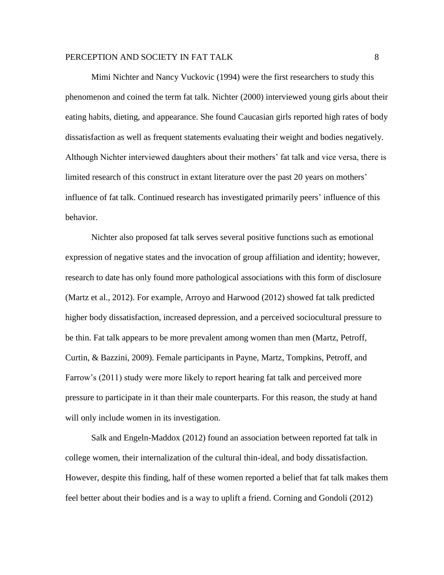Mimi Nichter and Nancy Vuckovic (1994) were the first researchers to study this phenomenon and coined the term fat talk. Nichter (2000) interviewed young girls about their eating habits, dieting, and appearance. She found Caucasian girls reported high rates of body dissatisfaction as well as frequent statements evaluating their weight and bodies negatively. Although Nichter interviewed daughters about their mothers' fat talk and vice versa, there is limited research of this construct in extant literature over the past 20 years on mothers' influence of fat talk. Continued research has investigated primarily peers' influence of this behavior.

Nichter also proposed fat talk serves several positive functions such as emotional expression of negative states and the invocation of group affiliation and identity; however, research to date has only found more pathological associations with this form of disclosure (Martz et al., 2012). For example, Arroyo and Harwood (2012) showed fat talk predicted higher body dissatisfaction, increased depression, and a perceived sociocultural pressure to be thin. Fat talk appears to be more prevalent among women than men (Martz, Petroff, Curtin, & Bazzini, 2009). Female participants in Payne, Martz, Tompkins, Petroff, and Farrow's (2011) study were more likely to report hearing fat talk and perceived more pressure to participate in it than their male counterparts. For this reason, the study at hand will only include women in its investigation.

Salk and Engeln-Maddox (2012) found an association between reported fat talk in college women, their internalization of the cultural thin-ideal, and body dissatisfaction. However, despite this finding, half of these women reported a belief that fat talk makes them feel better about their bodies and is a way to uplift a friend. Corning and Gondoli (2012)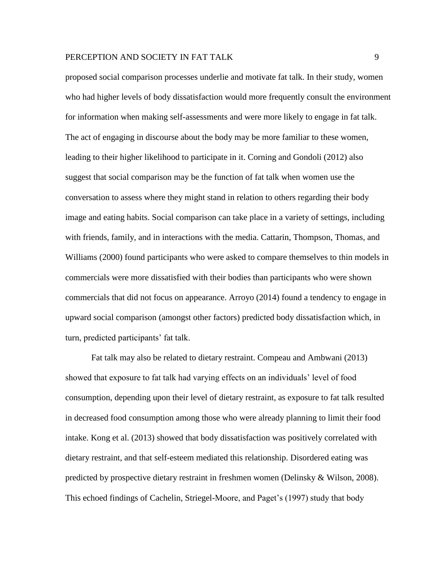proposed social comparison processes underlie and motivate fat talk. In their study, women who had higher levels of body dissatisfaction would more frequently consult the environment for information when making self-assessments and were more likely to engage in fat talk. The act of engaging in discourse about the body may be more familiar to these women, leading to their higher likelihood to participate in it. Corning and Gondoli (2012) also suggest that social comparison may be the function of fat talk when women use the conversation to assess where they might stand in relation to others regarding their body image and eating habits. Social comparison can take place in a variety of settings, including with friends, family, and in interactions with the media. Cattarin, Thompson, Thomas, and Williams (2000) found participants who were asked to compare themselves to thin models in commercials were more dissatisfied with their bodies than participants who were shown commercials that did not focus on appearance. Arroyo (2014) found a tendency to engage in upward social comparison (amongst other factors) predicted body dissatisfaction which, in turn, predicted participants' fat talk.

Fat talk may also be related to dietary restraint. Compeau and Ambwani (2013) showed that exposure to fat talk had varying effects on an individuals' level of food consumption, depending upon their level of dietary restraint, as exposure to fat talk resulted in decreased food consumption among those who were already planning to limit their food intake. Kong et al. (2013) showed that body dissatisfaction was positively correlated with dietary restraint, and that self-esteem mediated this relationship. Disordered eating was predicted by prospective dietary restraint in freshmen women (Delinsky & Wilson, 2008). This echoed findings of Cachelin, Striegel-Moore, and Paget's (1997) study that body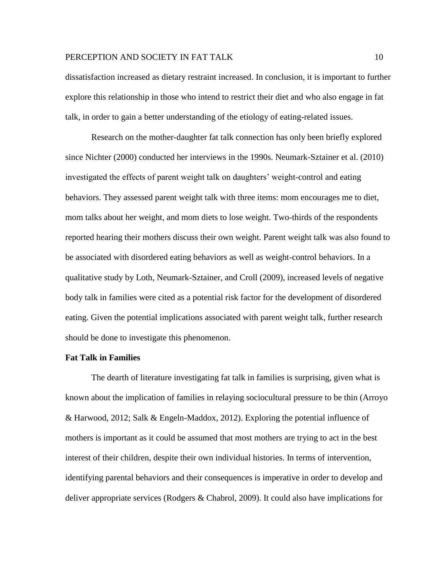dissatisfaction increased as dietary restraint increased. In conclusion, it is important to further explore this relationship in those who intend to restrict their diet and who also engage in fat talk, in order to gain a better understanding of the etiology of eating-related issues.

Research on the mother-daughter fat talk connection has only been briefly explored since Nichter (2000) conducted her interviews in the 1990s. Neumark-Sztainer et al. (2010) investigated the effects of parent weight talk on daughters' weight-control and eating behaviors. They assessed parent weight talk with three items: mom encourages me to diet, mom talks about her weight, and mom diets to lose weight. Two-thirds of the respondents reported hearing their mothers discuss their own weight. Parent weight talk was also found to be associated with disordered eating behaviors as well as weight-control behaviors. In a qualitative study by Loth, Neumark-Sztainer, and Croll (2009), increased levels of negative body talk in families were cited as a potential risk factor for the development of disordered eating. Given the potential implications associated with parent weight talk, further research should be done to investigate this phenomenon.

### **Fat Talk in Families**

The dearth of literature investigating fat talk in families is surprising, given what is known about the implication of families in relaying sociocultural pressure to be thin (Arroyo & Harwood, 2012; Salk & Engeln-Maddox, 2012). Exploring the potential influence of mothers is important as it could be assumed that most mothers are trying to act in the best interest of their children, despite their own individual histories. In terms of intervention, identifying parental behaviors and their consequences is imperative in order to develop and deliver appropriate services (Rodgers & Chabrol, 2009). It could also have implications for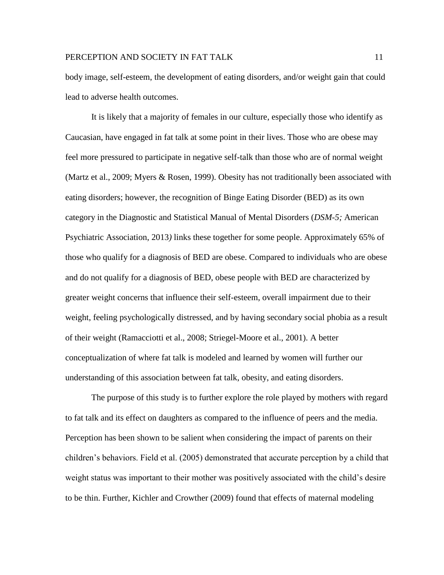body image, self-esteem, the development of eating disorders, and/or weight gain that could lead to adverse health outcomes.

It is likely that a majority of females in our culture, especially those who identify as Caucasian, have engaged in fat talk at some point in their lives. Those who are obese may feel more pressured to participate in negative self-talk than those who are of normal weight (Martz et al., 2009; Myers & Rosen, 1999). Obesity has not traditionally been associated with eating disorders; however, the recognition of Binge Eating Disorder (BED) as its own category in the Diagnostic and Statistical Manual of Mental Disorders (*DSM-5;* American Psychiatric Association, 2013*)* links these together for some people. Approximately 65% of those who qualify for a diagnosis of BED are obese. Compared to individuals who are obese and do not qualify for a diagnosis of BED, obese people with BED are characterized by greater weight concerns that influence their self-esteem, overall impairment due to their weight, feeling psychologically distressed, and by having secondary social phobia as a result of their weight (Ramacciotti et al., 2008; Striegel-Moore et al., 2001). A better conceptualization of where fat talk is modeled and learned by women will further our understanding of this association between fat talk, obesity, and eating disorders.

The purpose of this study is to further explore the role played by mothers with regard to fat talk and its effect on daughters as compared to the influence of peers and the media. Perception has been shown to be salient when considering the impact of parents on their children's behaviors. Field et al. (2005) demonstrated that accurate perception by a child that weight status was important to their mother was positively associated with the child's desire to be thin. Further, Kichler and Crowther (2009) found that effects of maternal modeling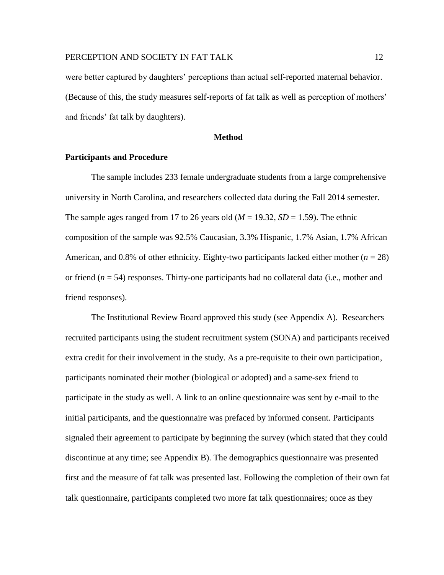were better captured by daughters' perceptions than actual self-reported maternal behavior. (Because of this, the study measures self-reports of fat talk as well as perception of mothers' and friends' fat talk by daughters).

#### **Method**

### **Participants and Procedure**

The sample includes 233 female undergraduate students from a large comprehensive university in North Carolina, and researchers collected data during the Fall 2014 semester. The sample ages ranged from 17 to 26 years old  $(M = 19.32, SD = 1.59)$ . The ethnic composition of the sample was 92.5% Caucasian, 3.3% Hispanic, 1.7% Asian, 1.7% African American, and 0.8% of other ethnicity. Eighty-two participants lacked either mother  $(n = 28)$ or friend (*n* = 54) responses. Thirty-one participants had no collateral data (i.e., mother and friend responses).

The Institutional Review Board approved this study (see Appendix A). Researchers recruited participants using the student recruitment system (SONA) and participants received extra credit for their involvement in the study. As a pre-requisite to their own participation, participants nominated their mother (biological or adopted) and a same-sex friend to participate in the study as well. A link to an online questionnaire was sent by e-mail to the initial participants, and the questionnaire was prefaced by informed consent. Participants signaled their agreement to participate by beginning the survey (which stated that they could discontinue at any time; see Appendix B). The demographics questionnaire was presented first and the measure of fat talk was presented last. Following the completion of their own fat talk questionnaire, participants completed two more fat talk questionnaires; once as they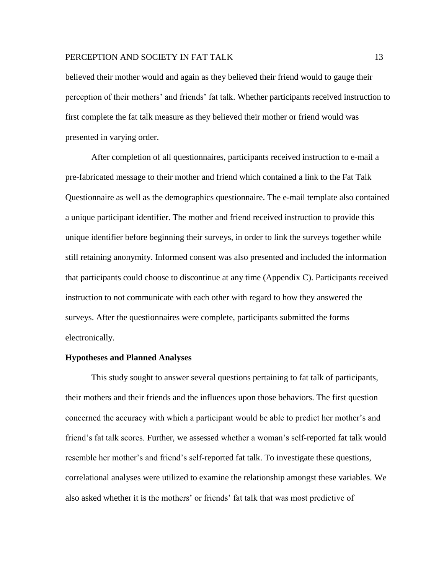believed their mother would and again as they believed their friend would to gauge their perception of their mothers' and friends' fat talk. Whether participants received instruction to first complete the fat talk measure as they believed their mother or friend would was presented in varying order.

After completion of all questionnaires, participants received instruction to e-mail a pre-fabricated message to their mother and friend which contained a link to the Fat Talk Questionnaire as well as the demographics questionnaire. The e-mail template also contained a unique participant identifier. The mother and friend received instruction to provide this unique identifier before beginning their surveys, in order to link the surveys together while still retaining anonymity. Informed consent was also presented and included the information that participants could choose to discontinue at any time (Appendix C). Participants received instruction to not communicate with each other with regard to how they answered the surveys. After the questionnaires were complete, participants submitted the forms electronically.

### **Hypotheses and Planned Analyses**

This study sought to answer several questions pertaining to fat talk of participants, their mothers and their friends and the influences upon those behaviors. The first question concerned the accuracy with which a participant would be able to predict her mother's and friend's fat talk scores. Further, we assessed whether a woman's self-reported fat talk would resemble her mother's and friend's self-reported fat talk. To investigate these questions, correlational analyses were utilized to examine the relationship amongst these variables. We also asked whether it is the mothers' or friends' fat talk that was most predictive of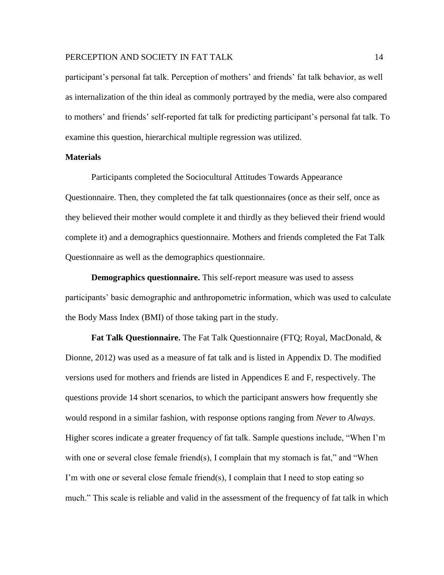participant's personal fat talk. Perception of mothers' and friends' fat talk behavior, as well as internalization of the thin ideal as commonly portrayed by the media, were also compared to mothers' and friends' self-reported fat talk for predicting participant's personal fat talk. To examine this question, hierarchical multiple regression was utilized.

### **Materials**

Participants completed the Sociocultural Attitudes Towards Appearance Questionnaire. Then, they completed the fat talk questionnaires (once as their self, once as they believed their mother would complete it and thirdly as they believed their friend would complete it) and a demographics questionnaire. Mothers and friends completed the Fat Talk Questionnaire as well as the demographics questionnaire.

**Demographics questionnaire.** This self-report measure was used to assess participants' basic demographic and anthropometric information, which was used to calculate the Body Mass Index (BMI) of those taking part in the study.

**Fat Talk Questionnaire.** The Fat Talk Questionnaire (FTQ; Royal, MacDonald, & Dionne, 2012) was used as a measure of fat talk and is listed in Appendix D. The modified versions used for mothers and friends are listed in Appendices E and F, respectively. The questions provide 14 short scenarios, to which the participant answers how frequently she would respond in a similar fashion, with response options ranging from *Never* to *Always*. Higher scores indicate a greater frequency of fat talk. Sample questions include, "When I'm with one or several close female friend(s), I complain that my stomach is fat," and "When I'm with one or several close female friend(s), I complain that I need to stop eating so much." This scale is reliable and valid in the assessment of the frequency of fat talk in which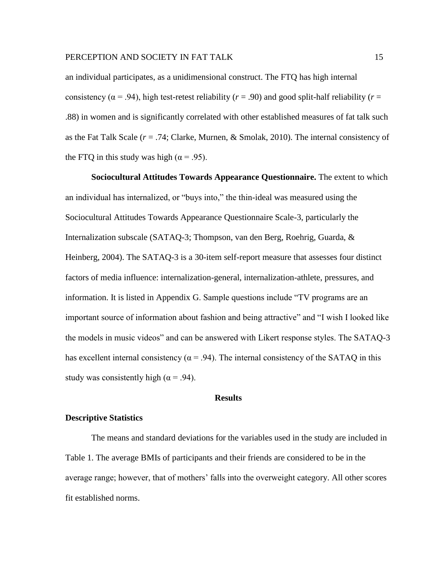an individual participates, as a unidimensional construct. The FTQ has high internal consistency ( $\alpha$  = .94), high test-retest reliability ( $r = .90$ ) and good split-half reliability ( $r =$ .88) in women and is significantly correlated with other established measures of fat talk such as the Fat Talk Scale (*r* = .74; Clarke, Murnen, & Smolak, 2010). The internal consistency of the FTQ in this study was high ( $\alpha$  = .95).

**Sociocultural Attitudes Towards Appearance Questionnaire.** The extent to which an individual has internalized, or "buys into," the thin-ideal was measured using the Sociocultural Attitudes Towards Appearance Questionnaire Scale-3, particularly the Internalization subscale (SATAQ-3; Thompson, van den Berg, Roehrig, Guarda, & Heinberg, 2004). The SATAQ-3 is a 30-item self-report measure that assesses four distinct factors of media influence: internalization-general, internalization-athlete, pressures, and information. It is listed in Appendix G. Sample questions include "TV programs are an important source of information about fashion and being attractive" and "I wish I looked like the models in music videos" and can be answered with Likert response styles. The SATAQ-3 has excellent internal consistency ( $\alpha$  = .94). The internal consistency of the SATAQ in this study was consistently high ( $\alpha$  = .94).

### **Results**

### **Descriptive Statistics**

The means and standard deviations for the variables used in the study are included in Table 1. The average BMIs of participants and their friends are considered to be in the average range; however, that of mothers' falls into the overweight category. All other scores fit established norms.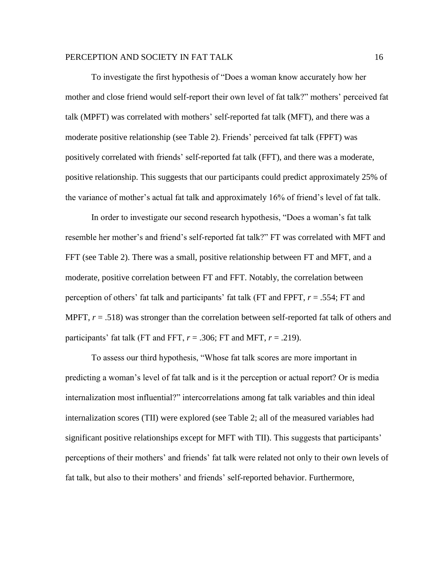To investigate the first hypothesis of "Does a woman know accurately how her mother and close friend would self-report their own level of fat talk?" mothers' perceived fat talk (MPFT) was correlated with mothers' self-reported fat talk (MFT), and there was a moderate positive relationship (see Table 2). Friends' perceived fat talk (FPFT) was positively correlated with friends' self-reported fat talk (FFT), and there was a moderate, positive relationship. This suggests that our participants could predict approximately 25% of the variance of mother's actual fat talk and approximately 16% of friend's level of fat talk.

In order to investigate our second research hypothesis, "Does a woman's fat talk resemble her mother's and friend's self-reported fat talk?" FT was correlated with MFT and FFT (see Table 2). There was a small, positive relationship between FT and MFT, and a moderate, positive correlation between FT and FFT. Notably, the correlation between perception of others' fat talk and participants' fat talk (FT and FPFT, *r* = .554; FT and MPFT,  $r = .518$ ) was stronger than the correlation between self-reported fat talk of others and participants' fat talk (FT and FFT,  $r = .306$ ; FT and MFT,  $r = .219$ ).

To assess our third hypothesis, "Whose fat talk scores are more important in predicting a woman's level of fat talk and is it the perception or actual report? Or is media internalization most influential?" intercorrelations among fat talk variables and thin ideal internalization scores (TII) were explored (see Table 2; all of the measured variables had significant positive relationships except for MFT with TII). This suggests that participants' perceptions of their mothers' and friends' fat talk were related not only to their own levels of fat talk, but also to their mothers' and friends' self-reported behavior. Furthermore,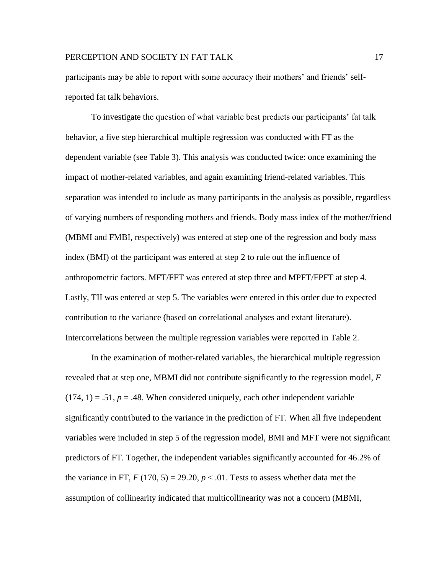participants may be able to report with some accuracy their mothers' and friends' selfreported fat talk behaviors.

To investigate the question of what variable best predicts our participants' fat talk behavior, a five step hierarchical multiple regression was conducted with FT as the dependent variable (see Table 3). This analysis was conducted twice: once examining the impact of mother-related variables, and again examining friend-related variables. This separation was intended to include as many participants in the analysis as possible, regardless of varying numbers of responding mothers and friends. Body mass index of the mother/friend (MBMI and FMBI, respectively) was entered at step one of the regression and body mass index (BMI) of the participant was entered at step 2 to rule out the influence of anthropometric factors. MFT/FFT was entered at step three and MPFT/FPFT at step 4. Lastly, TII was entered at step 5. The variables were entered in this order due to expected contribution to the variance (based on correlational analyses and extant literature). Intercorrelations between the multiple regression variables were reported in Table 2.

In the examination of mother-related variables, the hierarchical multiple regression revealed that at step one, MBMI did not contribute significantly to the regression model, *F*   $(174, 1) = .51, p = .48$ . When considered uniquely, each other independent variable significantly contributed to the variance in the prediction of FT. When all five independent variables were included in step 5 of the regression model, BMI and MFT were not significant predictors of FT. Together, the independent variables significantly accounted for 46.2% of the variance in FT,  $F(170, 5) = 29.20, p < .01$ . Tests to assess whether data met the assumption of collinearity indicated that multicollinearity was not a concern (MBMI,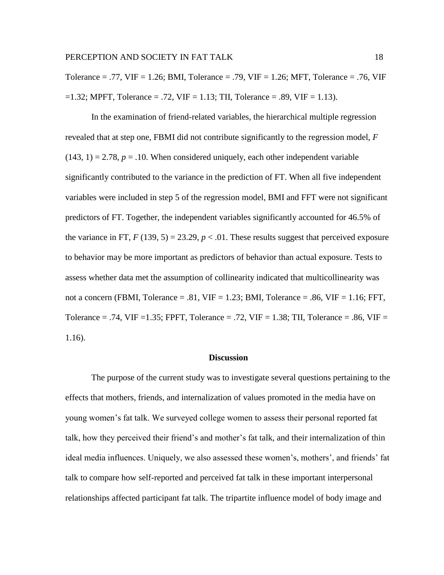Tolerance = .77, VIF = 1.26; BMI, Tolerance = .79, VIF = 1.26; MFT, Tolerance = .76, VIF  $=1.32$ ; MPFT, Tolerance  $= .72$ , VIF  $= 1.13$ ; TII, Tolerance  $= .89$ , VIF  $= 1.13$ ).

In the examination of friend-related variables, the hierarchical multiple regression revealed that at step one, FBMI did not contribute significantly to the regression model, *F*   $(143, 1) = 2.78$ ,  $p = 0.10$ . When considered uniquely, each other independent variable significantly contributed to the variance in the prediction of FT. When all five independent variables were included in step 5 of the regression model, BMI and FFT were not significant predictors of FT. Together, the independent variables significantly accounted for 46.5% of the variance in FT,  $F(139, 5) = 23.29, p < .01$ . These results suggest that perceived exposure to behavior may be more important as predictors of behavior than actual exposure. Tests to assess whether data met the assumption of collinearity indicated that multicollinearity was not a concern (FBMI, Tolerance = .81,  $VIF = 1.23$ ; BMI, Tolerance = .86,  $VIF = 1.16$ ; FFT, Tolerance = .74, VIF = 1.35; FPFT, Tolerance = .72, VIF = 1.38; TII, Tolerance = .86, VIF = 1.16).

### **Discussion**

The purpose of the current study was to investigate several questions pertaining to the effects that mothers, friends, and internalization of values promoted in the media have on young women's fat talk. We surveyed college women to assess their personal reported fat talk, how they perceived their friend's and mother's fat talk, and their internalization of thin ideal media influences. Uniquely, we also assessed these women's, mothers', and friends' fat talk to compare how self-reported and perceived fat talk in these important interpersonal relationships affected participant fat talk. The tripartite influence model of body image and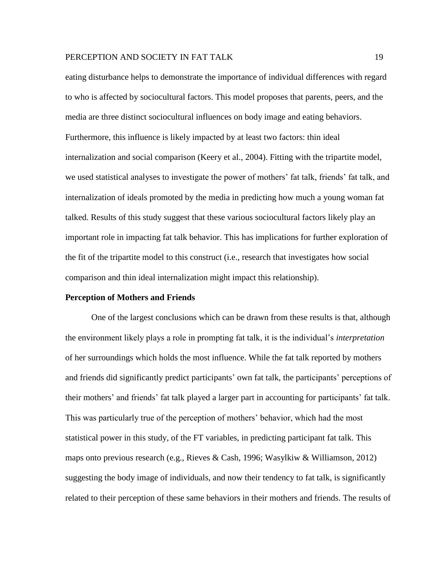eating disturbance helps to demonstrate the importance of individual differences with regard to who is affected by sociocultural factors. This model proposes that parents, peers, and the media are three distinct sociocultural influences on body image and eating behaviors. Furthermore, this influence is likely impacted by at least two factors: thin ideal internalization and social comparison (Keery et al., 2004). Fitting with the tripartite model, we used statistical analyses to investigate the power of mothers' fat talk, friends' fat talk, and internalization of ideals promoted by the media in predicting how much a young woman fat talked. Results of this study suggest that these various sociocultural factors likely play an important role in impacting fat talk behavior. This has implications for further exploration of the fit of the tripartite model to this construct (i.e., research that investigates how social comparison and thin ideal internalization might impact this relationship).

#### **Perception of Mothers and Friends**

One of the largest conclusions which can be drawn from these results is that, although the environment likely plays a role in prompting fat talk, it is the individual's *interpretation* of her surroundings which holds the most influence. While the fat talk reported by mothers and friends did significantly predict participants' own fat talk, the participants' perceptions of their mothers' and friends' fat talk played a larger part in accounting for participants' fat talk. This was particularly true of the perception of mothers' behavior, which had the most statistical power in this study, of the FT variables, in predicting participant fat talk. This maps onto previous research (e.g., Rieves & Cash, 1996; Wasylkiw & Williamson, 2012) suggesting the body image of individuals, and now their tendency to fat talk, is significantly related to their perception of these same behaviors in their mothers and friends. The results of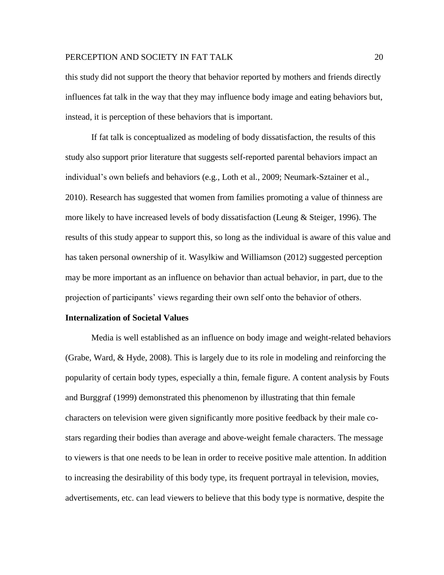this study did not support the theory that behavior reported by mothers and friends directly influences fat talk in the way that they may influence body image and eating behaviors but, instead, it is perception of these behaviors that is important.

If fat talk is conceptualized as modeling of body dissatisfaction, the results of this study also support prior literature that suggests self-reported parental behaviors impact an individual's own beliefs and behaviors (e.g., Loth et al., 2009; Neumark-Sztainer et al., 2010). Research has suggested that women from families promoting a value of thinness are more likely to have increased levels of body dissatisfaction (Leung & Steiger, 1996). The results of this study appear to support this, so long as the individual is aware of this value and has taken personal ownership of it. Wasylkiw and Williamson (2012) suggested perception may be more important as an influence on behavior than actual behavior, in part, due to the projection of participants' views regarding their own self onto the behavior of others.

#### **Internalization of Societal Values**

Media is well established as an influence on body image and weight-related behaviors (Grabe, Ward, & Hyde, 2008). This is largely due to its role in modeling and reinforcing the popularity of certain body types, especially a thin, female figure. A content analysis by Fouts and Burggraf (1999) demonstrated this phenomenon by illustrating that thin female characters on television were given significantly more positive feedback by their male costars regarding their bodies than average and above-weight female characters. The message to viewers is that one needs to be lean in order to receive positive male attention. In addition to increasing the desirability of this body type, its frequent portrayal in television, movies, advertisements, etc. can lead viewers to believe that this body type is normative, despite the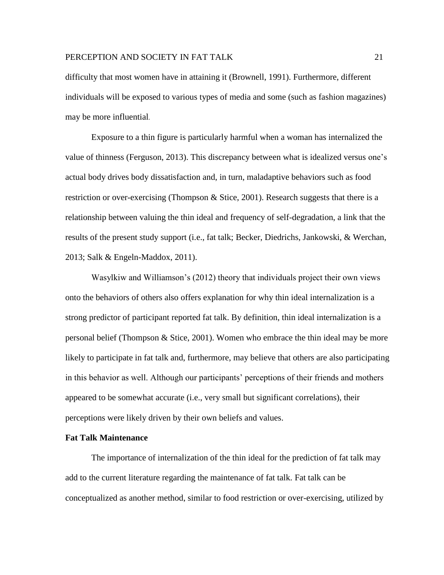difficulty that most women have in attaining it (Brownell, 1991). Furthermore, different individuals will be exposed to various types of media and some (such as fashion magazines) may be more influential.

Exposure to a thin figure is particularly harmful when a woman has internalized the value of thinness (Ferguson, 2013). This discrepancy between what is idealized versus one's actual body drives body dissatisfaction and, in turn, maladaptive behaviors such as food restriction or over-exercising (Thompson & Stice, 2001). Research suggests that there is a relationship between valuing the thin ideal and frequency of self-degradation, a link that the results of the present study support (i.e., fat talk; Becker, Diedrichs, Jankowski, & Werchan, 2013; Salk & Engeln-Maddox, 2011).

Wasylkiw and Williamson's (2012) theory that individuals project their own views onto the behaviors of others also offers explanation for why thin ideal internalization is a strong predictor of participant reported fat talk. By definition, thin ideal internalization is a personal belief (Thompson & Stice, 2001). Women who embrace the thin ideal may be more likely to participate in fat talk and, furthermore, may believe that others are also participating in this behavior as well. Although our participants' perceptions of their friends and mothers appeared to be somewhat accurate (i.e., very small but significant correlations), their perceptions were likely driven by their own beliefs and values.

### **Fat Talk Maintenance**

The importance of internalization of the thin ideal for the prediction of fat talk may add to the current literature regarding the maintenance of fat talk. Fat talk can be conceptualized as another method, similar to food restriction or over-exercising, utilized by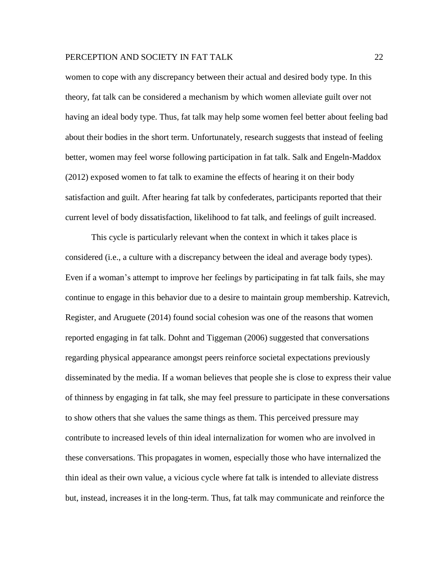women to cope with any discrepancy between their actual and desired body type. In this theory, fat talk can be considered a mechanism by which women alleviate guilt over not having an ideal body type. Thus, fat talk may help some women feel better about feeling bad about their bodies in the short term. Unfortunately, research suggests that instead of feeling better, women may feel worse following participation in fat talk. Salk and Engeln-Maddox (2012) exposed women to fat talk to examine the effects of hearing it on their body satisfaction and guilt. After hearing fat talk by confederates, participants reported that their current level of body dissatisfaction, likelihood to fat talk, and feelings of guilt increased.

This cycle is particularly relevant when the context in which it takes place is considered (i.e., a culture with a discrepancy between the ideal and average body types). Even if a woman's attempt to improve her feelings by participating in fat talk fails, she may continue to engage in this behavior due to a desire to maintain group membership. Katrevich, Register, and Aruguete (2014) found social cohesion was one of the reasons that women reported engaging in fat talk. Dohnt and Tiggeman (2006) suggested that conversations regarding physical appearance amongst peers reinforce societal expectations previously disseminated by the media. If a woman believes that people she is close to express their value of thinness by engaging in fat talk, she may feel pressure to participate in these conversations to show others that she values the same things as them. This perceived pressure may contribute to increased levels of thin ideal internalization for women who are involved in these conversations. This propagates in women, especially those who have internalized the thin ideal as their own value, a vicious cycle where fat talk is intended to alleviate distress but, instead, increases it in the long-term. Thus, fat talk may communicate and reinforce the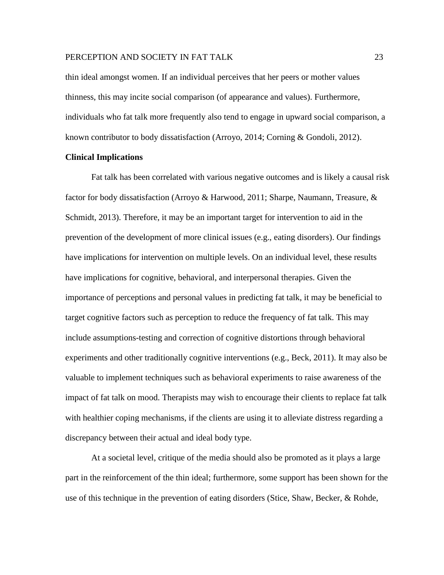thin ideal amongst women. If an individual perceives that her peers or mother values thinness, this may incite social comparison (of appearance and values). Furthermore, individuals who fat talk more frequently also tend to engage in upward social comparison, a known contributor to body dissatisfaction (Arroyo, 2014; Corning & Gondoli, 2012).

### **Clinical Implications**

Fat talk has been correlated with various negative outcomes and is likely a causal risk factor for body dissatisfaction (Arroyo & Harwood, 2011; Sharpe, Naumann, Treasure, & Schmidt, 2013). Therefore, it may be an important target for intervention to aid in the prevention of the development of more clinical issues (e.g., eating disorders). Our findings have implications for intervention on multiple levels. On an individual level, these results have implications for cognitive, behavioral, and interpersonal therapies. Given the importance of perceptions and personal values in predicting fat talk, it may be beneficial to target cognitive factors such as perception to reduce the frequency of fat talk. This may include assumptions-testing and correction of cognitive distortions through behavioral experiments and other traditionally cognitive interventions (e.g., Beck, 2011). It may also be valuable to implement techniques such as behavioral experiments to raise awareness of the impact of fat talk on mood. Therapists may wish to encourage their clients to replace fat talk with healthier coping mechanisms, if the clients are using it to alleviate distress regarding a discrepancy between their actual and ideal body type.

At a societal level, critique of the media should also be promoted as it plays a large part in the reinforcement of the thin ideal; furthermore, some support has been shown for the use of this technique in the prevention of eating disorders [\(Stice, Shaw, Becker, &](http://0-www.sciencedirect.com.wncln.wncln.org/science/article/pii/S1740144511000544#bib0135) Rohde,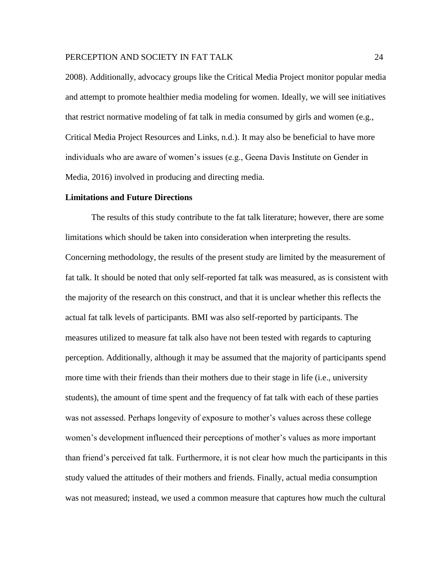[2008\)](http://0-www.sciencedirect.com.wncln.wncln.org/science/article/pii/S1740144511000544#bib0135). Additionally, advocacy groups like the Critical Media Project monitor popular media and attempt to promote healthier media modeling for women. Ideally, we will see initiatives that restrict normative modeling of fat talk in media consumed by girls and women (e.g., Critical Media Project Resources and Links, n.d.). It may also be beneficial to have more individuals who are aware of women's issues (e.g., Geena Davis Institute on Gender in Media, 2016) involved in producing and directing media.

### **Limitations and Future Directions**

The results of this study contribute to the fat talk literature; however, there are some limitations which should be taken into consideration when interpreting the results. Concerning methodology, the results of the present study are limited by the measurement of fat talk. It should be noted that only self-reported fat talk was measured, as is consistent with the majority of the research on this construct, and that it is unclear whether this reflects the actual fat talk levels of participants. BMI was also self-reported by participants. The measures utilized to measure fat talk also have not been tested with regards to capturing perception. Additionally, although it may be assumed that the majority of participants spend more time with their friends than their mothers due to their stage in life (i.e., university students), the amount of time spent and the frequency of fat talk with each of these parties was not assessed. Perhaps longevity of exposure to mother's values across these college women's development influenced their perceptions of mother's values as more important than friend's perceived fat talk. Furthermore, it is not clear how much the participants in this study valued the attitudes of their mothers and friends. Finally, actual media consumption was not measured; instead, we used a common measure that captures how much the cultural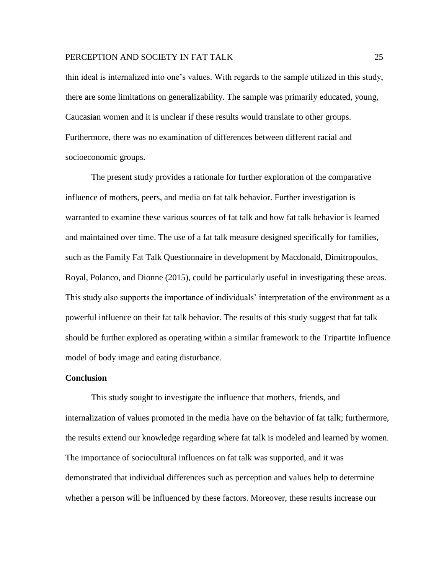thin ideal is internalized into one's values. With regards to the sample utilized in this study, there are some limitations on generalizability. The sample was primarily educated, young, Caucasian women and it is unclear if these results would translate to other groups. Furthermore, there was no examination of differences between different racial and socioeconomic groups.

The present study provides a rationale for further exploration of the comparative influence of mothers, peers, and media on fat talk behavior. Further investigation is warranted to examine these various sources of fat talk and how fat talk behavior is learned and maintained over time. The use of a fat talk measure designed specifically for families, such as the Family Fat Talk Questionnaire in development by Macdonald, Dimitropoulos, Royal, Polanco, and Dionne (2015), could be particularly useful in investigating these areas. This study also supports the importance of individuals' interpretation of the environment as a powerful influence on their fat talk behavior. The results of this study suggest that fat talk should be further explored as operating within a similar framework to the Tripartite Influence model of body image and eating disturbance.

### **Conclusion**

This study sought to investigate the influence that mothers, friends, and internalization of values promoted in the media have on the behavior of fat talk; furthermore, the results extend our knowledge regarding where fat talk is modeled and learned by women. The importance of sociocultural influences on fat talk was supported, and it was demonstrated that individual differences such as perception and values help to determine whether a person will be influenced by these factors. Moreover, these results increase our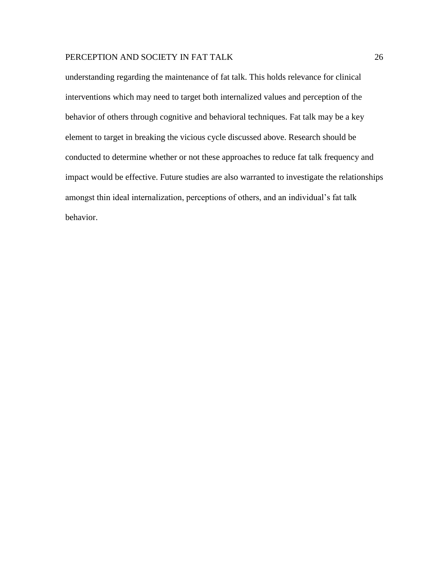understanding regarding the maintenance of fat talk. This holds relevance for clinical interventions which may need to target both internalized values and perception of the behavior of others through cognitive and behavioral techniques. Fat talk may be a key element to target in breaking the vicious cycle discussed above. Research should be conducted to determine whether or not these approaches to reduce fat talk frequency and impact would be effective. Future studies are also warranted to investigate the relationships amongst thin ideal internalization, perceptions of others, and an individual's fat talk behavior.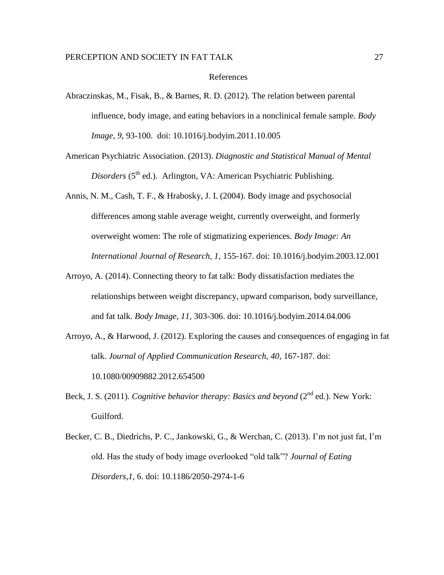#### References

- Abraczinskas, M., Fisak, B., & Barnes, R. D. (2012). The relation between parental influence, body image, and eating behaviors in a nonclinical female sample. *Body Image, 9*, 93-100. doi: 10.1016/j.bodyim.2011.10.005
- American Psychiatric Association. (2013). *Diagnostic and Statistical Manual of Mental Disorders* (5<sup>th</sup> ed.). Arlington, VA: American Psychiatric Publishing.
- Annis, N. M., Cash, T. F., & Hrabosky, J. I. (2004). Body image and psychosocial differences among stable average weight, currently overweight, and formerly overweight women: The role of stigmatizing experiences. *Body Image: An International Journal of Research, 1,* 155-167. doi: 10.1016/j.bodyim.2003.12.001
- Arroyo, A. (2014). Connecting theory to fat talk: Body dissatisfaction mediates the relationships between weight discrepancy, upward comparison, body surveillance, and fat talk. *Body Image, 11,* 303-306. doi: 10.1016/j.bodyim.2014.04.006
- Arroyo, A., & Harwood, J. (2012). Exploring the causes and consequences of engaging in fat talk. *Journal of Applied Communication Research, 40, 167-187. doi:* 10.1080/00909882.2012.654500
- Beck, J. S. (2011). *Cognitive behavior therapy: Basics and beyond* (2<sup>nd</sup> ed.). New York: Guilford.
- Becker, C. B., Diedrichs, P. C., Jankowski, G., & Werchan, C. (2013). I'm not just fat, I'm old. Has the study of body image overlooked "old talk"? *Journal of Eating Disorders,1,* 6. doi: 10.1186/2050-2974-1-6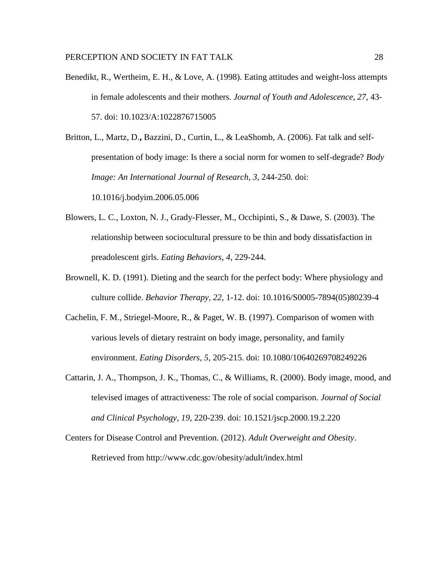Benedikt, R., Wertheim, E. H., & Love, A. (1998). Eating attitudes and weight-loss attempts in female adolescents and their mothers. *Journal of Youth and Adolescence, 27,* 43- 57. doi: 10.1023/A:1022876715005

Britton, L., Martz, D.**,** Bazzini, D., Curtin, L., & LeaShomb, A. (2006). Fat talk and selfpresentation of body image: Is there a social norm for women to self-degrade? *Body Image: An International Journal of Research, 3,* 244-250*.* doi:

10.1016/j.bodyim.2006.05.006

- Blowers, L. C., Loxton, N. J., Grady-Flesser, M., Occhipinti, S., & Dawe, S. (2003). The relationship between sociocultural pressure to be thin and body dissatisfaction in preadolescent girls. *Eating Behaviors, 4,* 229-244.
- Brownell, K. D. (1991). Dieting and the search for the perfect body: Where physiology and culture collide. *Behavior Therapy, 22,* 1-12. doi: 10.1016/S0005-7894(05)80239-4
- Cachelin, F. M., Striegel-Moore, R., & Paget, W. B. (1997). Comparison of women with various levels of dietary restraint on body image, personality, and family environment. *Eating Disorders, 5,* 205-215. doi: 10.1080/10640269708249226
- Cattarin, J. A., Thompson, J. K., Thomas, C., & Williams, R. (2000). Body image, mood, and televised images of attractiveness: The role of social comparison. *Journal of Social and Clinical Psychology, 19,* 220-239. doi: 10.1521/jscp.2000.19.2.220
- Centers for Disease Control and Prevention. (2012). *Adult Overweight and Obesity*. Retrieved from http://www.cdc.gov/obesity/adult/index.html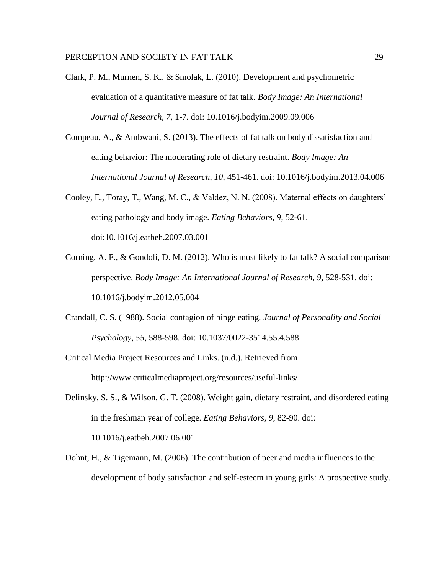- Clark, P. M., Murnen, S. K., & Smolak, L. (2010). Development and psychometric evaluation of a quantitative measure of fat talk. *Body Image: An International Journal of Research, 7,* 1-7. doi: 10.1016/j.bodyim.2009.09.006
- Compeau, A., & Ambwani, S. (2013). The effects of fat talk on body dissatisfaction and eating behavior: The moderating role of dietary restraint. *Body Image: An International Journal of Research, 10,* 451-461. doi: 10.1016/j.bodyim.2013.04.006
- Cooley, E., Toray, T., Wang, M. C., & Valdez, N. N. (2008). Maternal effects on daughters' eating pathology and body image. *Eating Behaviors, 9,* 52-61. doi:10.1016/j.eatbeh.2007.03.001
- Corning, A. F., & Gondoli, D. M. (2012). Who is most likely to fat talk? A social comparison perspective. *Body Image: An International Journal of Research, 9,* 528-531. doi: 10.1016/j.bodyim.2012.05.004
- Crandall, C. S. (1988). Social contagion of binge eating. *Journal of Personality and Social Psychology, 55,* 588-598. doi: 10.1037/0022-3514.55.4.588
- Critical Media Project Resources and Links. (n.d.). Retrieved from http://www.criticalmediaproject.org/resources/useful-links/
- Delinsky, S. S., & Wilson, G. T. (2008). Weight gain, dietary restraint, and disordered eating in the freshman year of college. *Eating Behaviors, 9,* 82-90. doi: 10.1016/j.eatbeh.2007.06.001
- Dohnt, H., & Tigemann, M. (2006). The contribution of peer and media influences to the development of body satisfaction and self-esteem in young girls: A prospective study.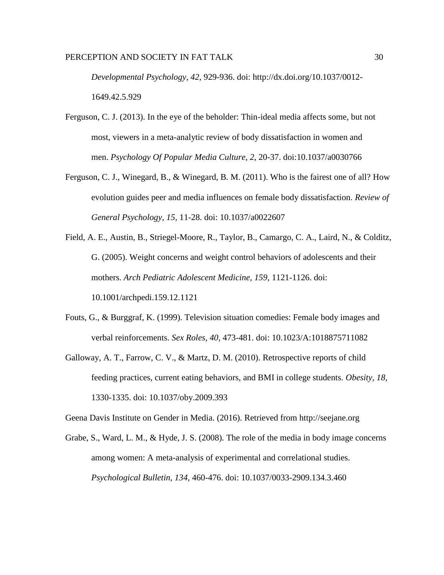*Developmental Psychology, 42,* 929-936. doi: http://dx.doi.org/10.1037/0012- 1649.42.5.929

- Ferguson, C. J. (2013). In the eye of the beholder: Thin-ideal media affects some, but not most, viewers in a meta-analytic review of body dissatisfaction in women and men. *Psychology Of Popular Media Culture*, *2*, 20-37. doi:10.1037/a0030766
- Ferguson, C. J., Winegard, B., & Winegard, B. M. (2011). Who is the fairest one of all? How evolution guides peer and media influences on female body dissatisfaction. *Review of General Psychology, 15,* 11-28. doi: 10.1037/a0022607
- Field, A. E., Austin, B., Striegel-Moore, R., Taylor, B., Camargo, C. A., Laird, N., & Colditz, G. (2005). Weight concerns and weight control behaviors of adolescents and their mothers. *Arch Pediatric Adolescent Medicine, 159,* 1121-1126. doi: 10.1001/archpedi.159.12.1121
- Fouts, G., & Burggraf, K. (1999). Television situation comedies: Female body images and verbal reinforcements. *Sex Roles, 40,* 473-481. doi: 10.1023/A:1018875711082
- Galloway, A. T., Farrow, C. V., & Martz, D. M. (2010). Retrospective reports of child feeding practices, current eating behaviors, and BMI in college students. *Obesity, 18,*  1330-1335. doi: 10.1037/oby.2009.393

Geena Davis Institute on Gender in Media. (2016). Retrieved from http://seejane.org

Grabe, S., Ward, L. M., & Hyde, J. S. (2008). The role of the media in body image concerns among women: A meta-analysis of experimental and correlational studies. *Psychological Bulletin, 134,* 460-476. doi: 10.1037/0033-2909.134.3.460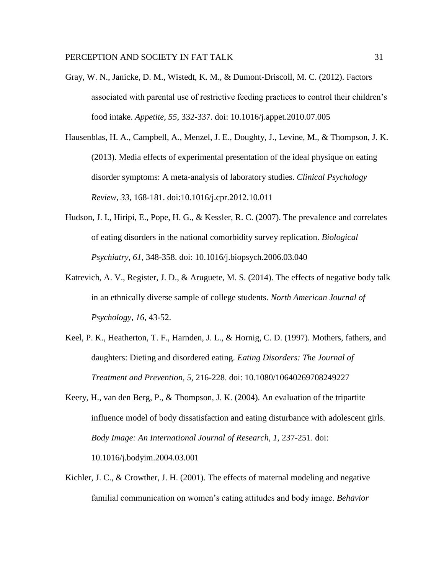- Gray, W. N., Janicke, D. M., Wistedt, K. M., & Dumont-Driscoll, M. C. (2012). Factors associated with parental use of restrictive feeding practices to control their children's food intake. *Appetite, 55,* 332-337. doi: 10.1016/j.appet.2010.07.005
- Hausenblas, H. A., Campbell, A., Menzel, J. E., Doughty, J., Levine, M., & Thompson, J. K. (2013). Media effects of experimental presentation of the ideal physique on eating disorder symptoms: A meta-analysis of laboratory studies. *Clinical Psychology Review, 33,* 168-181. doi:10.1016/j.cpr.2012.10.011
- Hudson, J. I., Hiripi, E., Pope, H. G., & Kessler, R. C. (2007). The prevalence and correlates of eating disorders in the national comorbidity survey replication. *Biological Psychiatry, 61,* 348-358. doi: 10.1016/j.biopsych.2006.03.040
- Katrevich, A. V., Register, J. D., & Aruguete, M. S. (2014). The effects of negative body talk in an ethnically diverse sample of college students. *North American Journal of Psychology, 16,* 43-52.
- Keel, P. K., Heatherton, T. F., Harnden, J. L., & Hornig, C. D. (1997). Mothers, fathers, and daughters: Dieting and disordered eating. *Eating Disorders: The Journal of Treatment and Prevention, 5,* 216-228. doi: 10.1080/10640269708249227
- Keery, H., van den Berg, P., & Thompson, J. K. (2004). An evaluation of the tripartite influence model of body dissatisfaction and eating disturbance with adolescent girls. *Body Image: An International Journal of Research, 1,* 237-251. doi: 10.1016/j.bodyim.2004.03.001
- Kichler, J. C., & Crowther, J. H. (2001). The effects of maternal modeling and negative familial communication on women's eating attitudes and body image. *Behavior*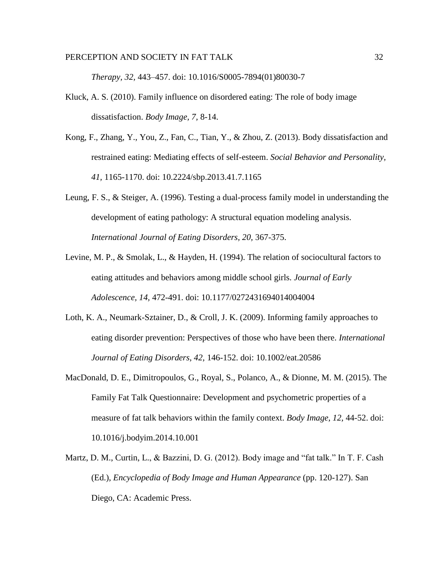*Therapy, 32,* 443–457. doi: 10.1016/S0005-7894(01)80030-7

- Kluck, A. S. (2010). Family influence on disordered eating: The role of body image dissatisfaction. *Body Image, 7,* 8-14.
- Kong, F., Zhang, Y., You, Z., Fan, C., Tian, Y., & Zhou, Z. (2013). Body dissatisfaction and restrained eating: Mediating effects of self-esteem. *Social Behavior and Personality, 41,* 1165-1170. doi: 10.2224/sbp.2013.41.7.1165
- Leung, F. S., & Steiger, A. (1996). Testing a dual-process family model in understanding the development of eating pathology: A structural equation modeling analysis. *International Journal of Eating Disorders, 20,* 367-375.
- Levine, M. P., & Smolak, L., & Hayden, H. (1994). The relation of sociocultural factors to eating attitudes and behaviors among middle school girls. *Journal of Early Adolescence, 14,* 472-491. doi: 10.1177/0272431694014004004
- Loth, K. A., Neumark-Sztainer, D., & Croll, J. K. (2009). Informing family approaches to eating disorder prevention: Perspectives of those who have been there. *International Journal of Eating Disorders, 42,* 146-152. doi: 10.1002/eat.20586
- MacDonald, D. E., Dimitropoulos, G., Royal, S., Polanco, A., & Dionne, M. M. (2015). The Family Fat Talk Questionnaire: Development and psychometric properties of a measure of fat talk behaviors within the family context. *Body Image, 12,* 44-52. doi: 10.1016/j.bodyim.2014.10.001
- Martz, D. M., Curtin, L., & Bazzini, D. G. (2012). Body image and "fat talk." In T. F. Cash (Ed.), *Encyclopedia of Body Image and Human Appearance* (pp. 120-127). San Diego, CA: Academic Press.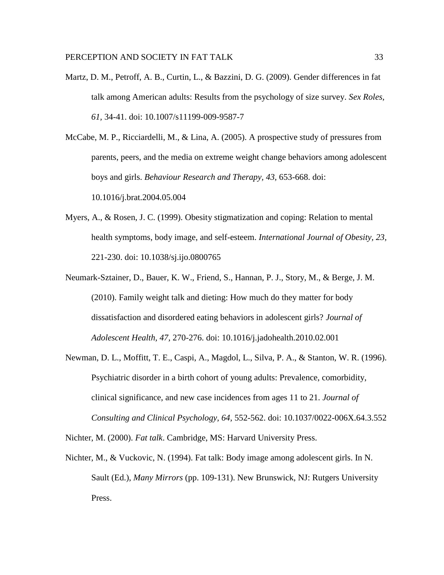- Martz, D. M., Petroff, A. B., Curtin, L., & Bazzini, D. G. (2009). Gender differences in fat talk among American adults: Results from the psychology of size survey. *Sex Roles, 61,* 34-41. doi: 10.1007/s11199-009-9587-7
- McCabe, M. P., Ricciardelli, M., & Lina, A. (2005). A prospective study of pressures from parents, peers, and the media on extreme weight change behaviors among adolescent boys and girls. *Behaviour Research and Therapy, 43,* 653-668. doi: 10.1016/j.brat.2004.05.004
- Myers, A., & Rosen, J. C. (1999). Obesity stigmatization and coping: Relation to mental health symptoms, body image, and self-esteem. *International Journal of Obesity, 23,*  221-230. doi: 10.1038/sj.ijo.0800765
- Neumark-Sztainer, D., Bauer, K. W., Friend, S., Hannan, P. J., Story, M., & Berge, J. M. (2010). Family weight talk and dieting: How much do they matter for body dissatisfaction and disordered eating behaviors in adolescent girls? *Journal of Adolescent Health, 47,* 270-276. doi: 10.1016/j.jadohealth.2010.02.001
- Newman, D. L., Moffitt, T. E., Caspi, A., Magdol, L., Silva, P. A., & Stanton, W. R. (1996). Psychiatric disorder in a birth cohort of young adults: Prevalence, comorbidity, clinical significance, and new case incidences from ages 11 to 21. *Journal of Consulting and Clinical Psychology, 64,* 552-562. doi: 10.1037/0022-006X.64.3.552

Nichter, M. (2000). *Fat talk*. Cambridge, MS: Harvard University Press.

Nichter, M., & Vuckovic, N. (1994). Fat talk: Body image among adolescent girls. In N. Sault (Ed.), *Many Mirrors* (pp. 109-131). New Brunswick, NJ: Rutgers University Press.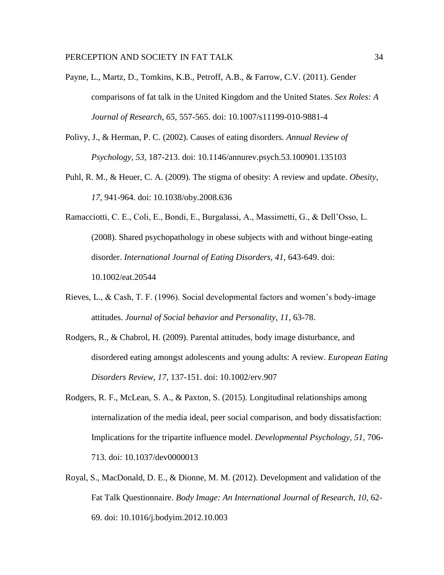- Payne, L., Martz, D., Tomkins, K.B., Petroff, A.B., & Farrow, C.V. (2011). Gender comparisons of fat talk in the United Kingdom and the United States. *Sex Roles: A Journal of Research*, *65,* 557-565. doi: 10.1007/s11199-010-9881-4
- Polivy, J., & Herman, P. C. (2002). Causes of eating disorders. *Annual Review of Psychology, 53,* 187-213. doi: 10.1146/annurev.psych.53.100901.135103
- Puhl, R. M., & Heuer, C. A. (2009). The stigma of obesity: A review and update. *Obesity, 17*, 941-964. doi: 10.1038/oby.2008.636
- Ramacciotti, C. E., Coli, E., Bondi, E., Burgalassi, A., Massimetti, G., & Dell'Osso, L. (2008). Shared psychopathology in obese subjects with and without binge-eating disorder. *International Journal of Eating Disorders, 41,* 643-649. doi: 10.1002/eat.20544
- Rieves, L., & Cash, T. F. (1996). Social developmental factors and women's body-image attitudes. *Journal of Social behavior and Personality, 11,* 63-78.
- Rodgers, R., & Chabrol, H. (2009). Parental attitudes, body image disturbance, and disordered eating amongst adolescents and young adults: A review. *European Eating Disorders Review, 17*, 137-151. doi: 10.1002/erv.907
- Rodgers, R. F., McLean, S. A., & Paxton, S. (2015). Longitudinal relationships among internalization of the media ideal, peer social comparison, and body dissatisfaction: Implications for the tripartite influence model. *Developmental Psychology, 51,* 706- 713. doi: 10.1037/dev0000013
- Royal, S., MacDonald, D. E., & Dionne, M. M. (2012). Development and validation of the Fat Talk Questionnaire. *Body Image: An International Journal of Research, 10,* 62- 69. doi: 10.1016/j.bodyim.2012.10.003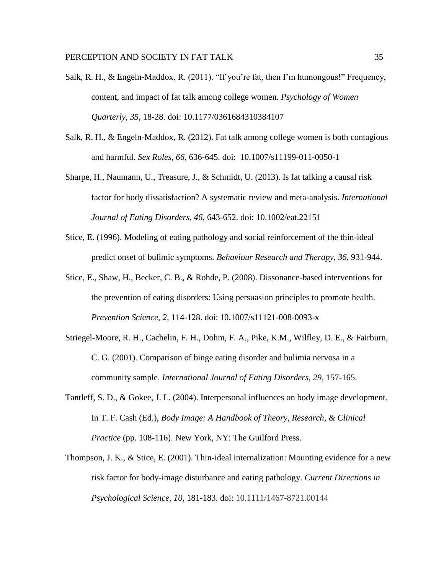- Salk, R. H., & Engeln-Maddox, R. (2011). "If you're fat, then I'm humongous!" Frequency, content, and impact of fat talk among college women. *Psychology of Women Quarterly, 35,* 18-28. doi: 10.1177/0361684310384107
- Salk, R. H., & Engeln-Maddox, R. (2012). Fat talk among college women is both contagious and harmful. *Sex Roles, 66,* 636-645. doi: 10.1007/s11199-011-0050-1
- Sharpe, H., Naumann, U., Treasure, J., & Schmidt, U. (2013). Is fat talking a causal risk factor for body dissatisfaction? A systematic review and meta-analysis. *International Journal of Eating Disorders, 46,* 643-652. doi: 10.1002/eat.22151
- Stice, E. (1996). Modeling of eating pathology and social reinforcement of the thin-ideal predict onset of bulimic symptoms. *Behaviour Research and Therapy, 36,* 931-944.
- Stice, E., Shaw, H., Becker, C. B., & Rohde, P. (2008). Dissonance-based interventions for the prevention of eating disorders: Using persuasion principles to promote health. *Prevention Science, 2,* 114-128. doi: 10.1007/s11121-008-0093-x
- Striegel-Moore, R. H., Cachelin, F. H., Dohm, F. A., Pike, K.M., Wilfley, D. E., & Fairburn, C. G. (2001). Comparison of binge eating disorder and bulimia nervosa in a community sample. *International Journal of Eating Disorders, 29,* 157-165.
- Tantleff, S. D., & Gokee, J. L. (2004). Interpersonal influences on body image development. In T. F. Cash (Ed.), *Body Image: A Handbook of Theory, Research, & Clinical Practice* (pp. 108-116). New York, NY: The Guilford Press.
- Thompson, J. K., & Stice, E. (2001). Thin-ideal internalization: Mounting evidence for a new risk factor for body-image disturbance and eating pathology. *Current Directions in Psychological Science, 10,* 181-183. doi: 10.1111/1467-8721.00144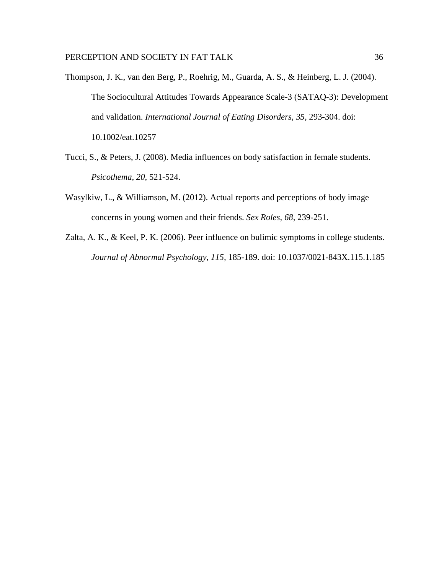- Thompson, J. K., van den Berg, P., Roehrig, M., Guarda, A. S., & Heinberg, L. J. (2004). The Sociocultural Attitudes Towards Appearance Scale-3 (SATAQ-3): Development and validation. *International Journal of Eating Disorders, 35,* 293-304. doi: 10.1002/eat.10257
- Tucci, S., & Peters, J. (2008). Media influences on body satisfaction in female students. *Psicothema, 20,* 521-524.
- Wasylkiw, L., & Williamson, M. (2012). Actual reports and perceptions of body image concerns in young women and their friends. *Sex Roles, 68,* 239-251.
- Zalta, A. K., & Keel, P. K. (2006). Peer influence on bulimic symptoms in college students. *Journal of Abnormal Psychology, 115,* 185-189. doi: 10.1037/0021-843X.115.1.185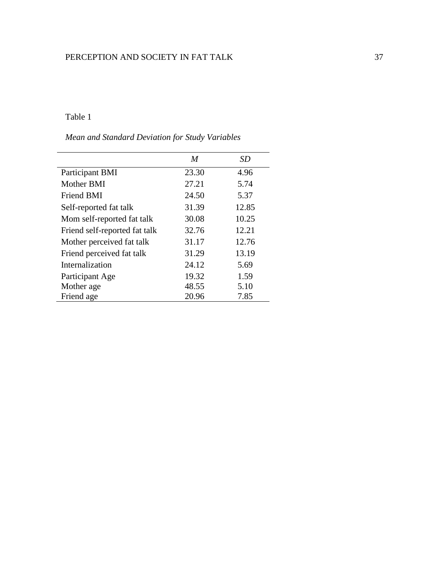## Table 1

## *Mean and Standard Deviation for Study Variables*

|                               | M     | SD    |
|-------------------------------|-------|-------|
| Participant BMI               | 23.30 | 4.96  |
| Mother BMI                    | 27.21 | 5.74  |
| <b>Friend BMI</b>             | 24.50 | 5.37  |
| Self-reported fat talk        | 31.39 | 12.85 |
| Mom self-reported fat talk    | 30.08 | 10.25 |
| Friend self-reported fat talk | 32.76 | 12.21 |
| Mother perceived fat talk     | 31.17 | 12.76 |
| Friend perceived fat talk     | 31.29 | 13.19 |
| Internalization               | 24.12 | 5.69  |
| Participant Age               | 19.32 | 1.59  |
| Mother age                    | 48.55 | 5.10  |
| Friend age                    | 20.96 | 7.85  |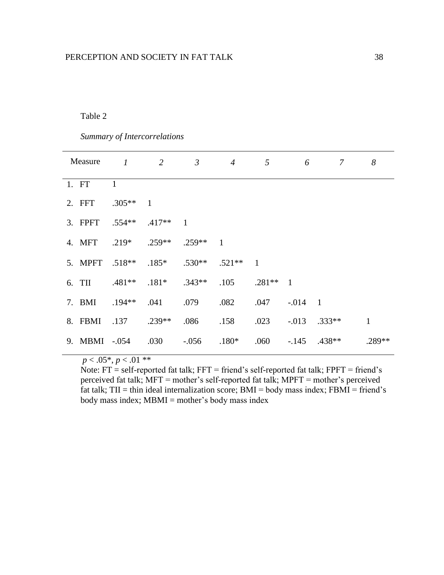## Table 2

 *Summary of Intercorrelations*

| Measure          | $\boldsymbol{I}$ | $\overline{2}$ | $\mathfrak{Z}$ | $\overline{4}$ | 5              | 6              | 7              | 8      |
|------------------|------------------|----------------|----------------|----------------|----------------|----------------|----------------|--------|
| 1. FT            | $\mathbf{1}$     |                |                |                |                |                |                |        |
| 2. FFT           | $.305**$         | $\mathbf{1}$   |                |                |                |                |                |        |
| 3. FPFT $.554**$ |                  | $.417**$       | $\overline{1}$ |                |                |                |                |        |
| 4. MFT           | $.219*$ $.259**$ |                | $.259**$       | $\mathbf{1}$   |                |                |                |        |
| 5. MPFT .518**   |                  | $.185*$        | $.530**$       | $.521**$       | $\overline{1}$ |                |                |        |
| 6. TII           | $.481**$         | $.181*$        | $.343**$       | .105           | $.281**$       | $\overline{1}$ |                |        |
| 7. BMI           | $.194**$         | .041           | .079           | .082           | .047           | $-.014$        | $\overline{1}$ |        |
| 8. FBMI          | .137             | $.239**$       | .086           | .158           | .023           |                | $-.013$ .333** | 1      |
| 9. MBMI -.054    |                  | .030           | $-0.056$       | $.180*$        | .060           | $-145$         | $.438**$       | .289** |

 $p < .05^*$ ,  $p < .01$  \*\*

 Note: FT = self-reported fat talk; FFT = friend's self-reported fat talk; FPFT = friend's perceived fat talk; MFT = mother's self-reported fat talk; MPFT = mother's perceived fat talk; TII = thin ideal internalization score;  $BMI = body$  mass index;  $FBMI = friend's$ body mass index; MBMI = mother's body mass index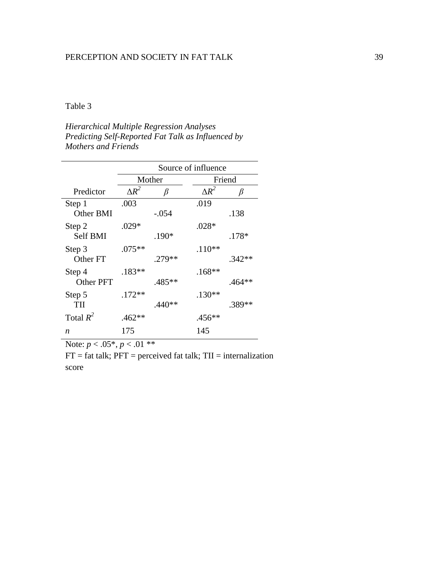## Table 3

*Hierarchical Multiple Regression Analyses Predicting Self-Reported Fat Talk as Influenced by Mothers and Friends* 

|                            | Source of influence |          |              |          |
|----------------------------|---------------------|----------|--------------|----------|
|                            |                     | Mother   |              | Friend   |
| Predictor                  | $\Delta R^2$        | β        | $\Delta R^2$ | β        |
| Step 1<br>Other BMI        | .003                | $-.054$  | .019         | .138     |
| Step 2<br><b>Self BMI</b>  | $.029*$             | .190*    | $.028*$      | $.178*$  |
| Step 3<br>Other FT         | $.075**$            | .279**   | $.110**$     | $.342**$ |
| Step 4<br><b>Other PFT</b> | $.183**$            | .485**   | $.168**$     | .464**   |
| Step 5<br>TII              | $.172**$            | $.440**$ | $.130**$     | .389**   |
| Total $R^2$                | $.462**$            |          | .456**       |          |
| n                          | 175                 |          | 145          |          |

Note:  $p < .05^*$ ,  $p < .01^{**}$ 

 $FT = fat$  talk;  $PFT = perceived$  fat talk;  $TH = internalization$ score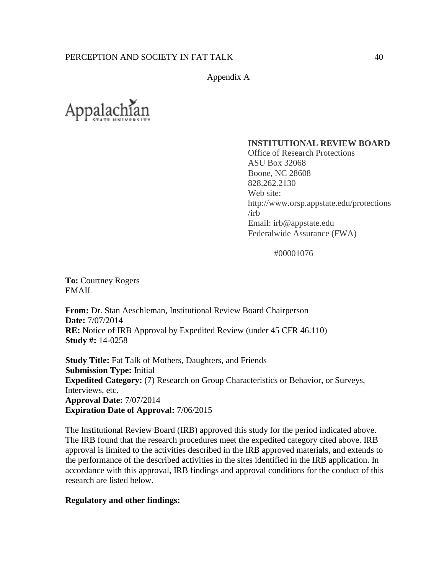Appendix A



### **INSTITUTIONAL REVIEW BOARD**

Office of Research Protections ASU Box 32068 Boone, NC 28608 828.262.2130 Web site: http://www.orsp.appstate.edu/protections /irb Email: irb@appstate.edu Federalwide Assurance (FWA)

#00001076

**To:** Courtney Rogers EMAIL

**From:** Dr. Stan Aeschleman, Institutional Review Board Chairperson **Date:** 7/07/2014 **RE:** Notice of IRB Approval by Expedited Review (under 45 CFR 46.110) **Study #:** 14-0258

**Study Title:** Fat Talk of Mothers, Daughters, and Friends **Submission Type:** Initial **Expedited Category:** (7) Research on Group Characteristics or Behavior, or Surveys, Interviews, etc. **Approval Date:** 7/07/2014 **Expiration Date of Approval:** 7/06/2015

The Institutional Review Board (IRB) approved this study for the period indicated above. The IRB found that the research procedures meet the expedited category cited above. IRB approval is limited to the activities described in the IRB approved materials, and extends to the performance of the described activities in the sites identified in the IRB application. In accordance with this approval, IRB findings and approval conditions for the conduct of this research are listed below.

### **Regulatory and other findings:**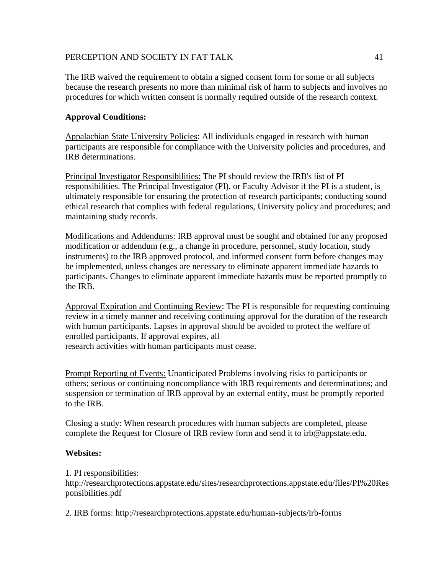The IRB waived the requirement to obtain a signed consent form for some or all subjects because the research presents no more than minimal risk of harm to subjects and involves no procedures for which written consent is normally required outside of the research context.

## **Approval Conditions:**

Appalachian State University Policies: All individuals engaged in research with human participants are responsible for compliance with the University policies and procedures, and IRB determinations.

Principal Investigator Responsibilities: The PI should review the IRB's list of PI responsibilities. The Principal Investigator (PI), or Faculty Advisor if the PI is a student, is ultimately responsible for ensuring the protection of research participants; conducting sound ethical research that complies with federal regulations, University policy and procedures; and maintaining study records.

Modifications and Addendums: IRB approval must be sought and obtained for any proposed modification or addendum (e.g., a change in procedure, personnel, study location, study instruments) to the IRB approved protocol, and informed consent form before changes may be implemented, unless changes are necessary to eliminate apparent immediate hazards to participants. Changes to eliminate apparent immediate hazards must be reported promptly to the IRB.

Approval Expiration and Continuing Review: The PI is responsible for requesting continuing review in a timely manner and receiving continuing approval for the duration of the research with human participants. Lapses in approval should be avoided to protect the welfare of enrolled participants. If approval expires, all research activities with human participants must cease.

Prompt Reporting of Events: Unanticipated Problems involving risks to participants or others; serious or continuing noncompliance with IRB requirements and determinations; and suspension or termination of IRB approval by an external entity, must be promptly reported to the IRB.

Closing a study: When research procedures with human subjects are completed, please complete the Request for Closure of IRB review form and send it to irb@appstate.edu.

## **Websites:**

1. PI responsibilities:

http://researchprotections.appstate.edu/sites/researchprotections.appstate.edu/files/PI%20Res ponsibilities.pdf

2. IRB forms: http://researchprotections.appstate.edu/human-subjects/irb-forms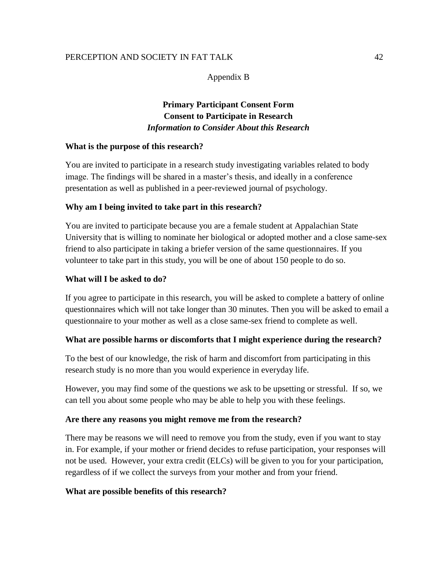Appendix B

# **Primary Participant Consent Form Consent to Participate in Research** *Information to Consider About this Research*

## **What is the purpose of this research?**

You are invited to participate in a research study investigating variables related to body image. The findings will be shared in a master's thesis, and ideally in a conference presentation as well as published in a peer-reviewed journal of psychology.

## **Why am I being invited to take part in this research?**

You are invited to participate because you are a female student at Appalachian State University that is willing to nominate her biological or adopted mother and a close same-sex friend to also participate in taking a briefer version of the same questionnaires. If you volunteer to take part in this study, you will be one of about 150 people to do so.

## **What will I be asked to do?**

If you agree to participate in this research, you will be asked to complete a battery of online questionnaires which will not take longer than 30 minutes. Then you will be asked to email a questionnaire to your mother as well as a close same-sex friend to complete as well.

## **What are possible harms or discomforts that I might experience during the research?**

To the best of our knowledge, the risk of harm and discomfort from participating in this research study is no more than you would experience in everyday life.

However, you may find some of the questions we ask to be upsetting or stressful. If so, we can tell you about some people who may be able to help you with these feelings.

## **Are there any reasons you might remove me from the research?**

There may be reasons we will need to remove you from the study, even if you want to stay in. For example, if your mother or friend decides to refuse participation, your responses will not be used. However, your extra credit (ELCs) will be given to you for your participation, regardless of if we collect the surveys from your mother and from your friend.

## **What are possible benefits of this research?**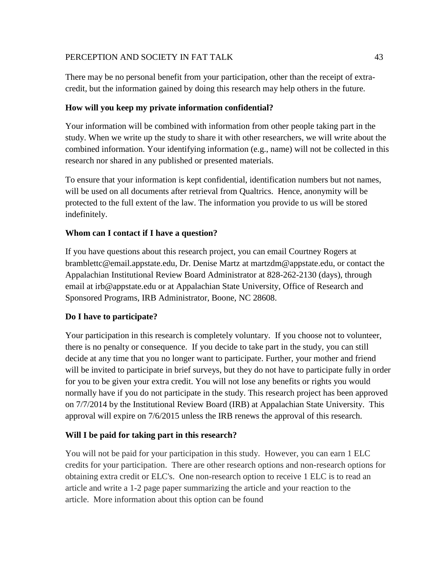There may be no personal benefit from your participation, other than the receipt of extracredit, but the information gained by doing this research may help others in the future.

## **How will you keep my private information confidential?**

Your information will be combined with information from other people taking part in the study. When we write up the study to share it with other researchers, we will write about the combined information. Your identifying information (e.g., name) will not be collected in this research nor shared in any published or presented materials.

To ensure that your information is kept confidential, identification numbers but not names, will be used on all documents after retrieval from Qualtrics. Hence, anonymity will be protected to the full extent of the law. The information you provide to us will be stored indefinitely.

## **Whom can I contact if I have a question?**

If you have questions about this research project, you can email Courtney Rogers at bramblettc@email.appstate.edu, Dr. Denise Martz at martzdm@appstate.edu, or contact the Appalachian Institutional Review Board Administrator at 828-262-2130 (days), through email at irb@appstate.edu or at Appalachian State University, Office of Research and Sponsored Programs, IRB Administrator, Boone, NC 28608.

## **Do I have to participate?**

Your participation in this research is completely voluntary. If you choose not to volunteer, there is no penalty or consequence. If you decide to take part in the study, you can still decide at any time that you no longer want to participate. Further, your mother and friend will be invited to participate in brief surveys, but they do not have to participate fully in order for you to be given your extra credit. You will not lose any benefits or rights you would normally have if you do not participate in the study. This research project has been approved on 7/7/2014 by the Institutional Review Board (IRB) at Appalachian State University. This approval will expire on 7/6/2015 unless the IRB renews the approval of this research.

## **Will I be paid for taking part in this research?**

You will not be paid for your participation in this study. However, you can earn 1 ELC credits for your participation. There are other research options and non-research options for obtaining extra credit or ELC's. One non-research option to receive 1 ELC is to read an article and write a 1-2 page paper summarizing the article and your reaction to the article. More information about this option can be found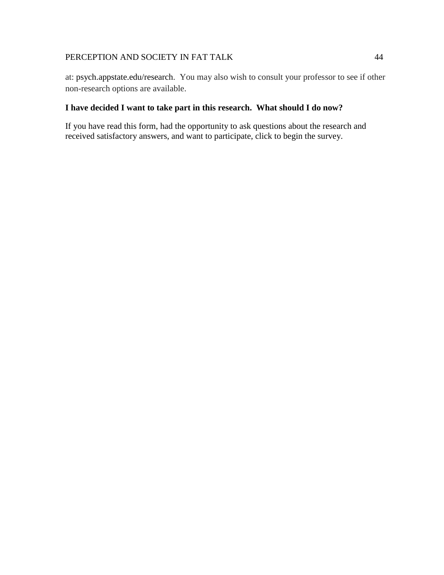at: psych.appstate.edu/research. You may also wish to consult your professor to see if other non-research options are available.

## **I have decided I want to take part in this research. What should I do now?**

If you have read this form, had the opportunity to ask questions about the research and received satisfactory answers, and want to participate, click to begin the survey.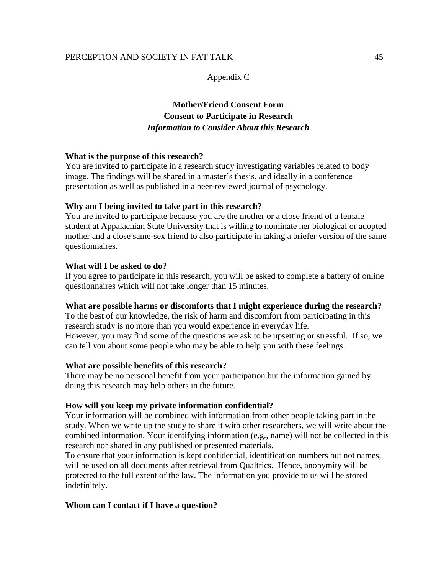### Appendix C

# **Mother/Friend Consent Form Consent to Participate in Research** *Information to Consider About this Research*

### **What is the purpose of this research?**

You are invited to participate in a research study investigating variables related to body image. The findings will be shared in a master's thesis, and ideally in a conference presentation as well as published in a peer-reviewed journal of psychology.

#### **Why am I being invited to take part in this research?**

You are invited to participate because you are the mother or a close friend of a female student at Appalachian State University that is willing to nominate her biological or adopted mother and a close same-sex friend to also participate in taking a briefer version of the same questionnaires.

#### **What will I be asked to do?**

If you agree to participate in this research, you will be asked to complete a battery of online questionnaires which will not take longer than 15 minutes.

#### **What are possible harms or discomforts that I might experience during the research?**

To the best of our knowledge, the risk of harm and discomfort from participating in this research study is no more than you would experience in everyday life. However, you may find some of the questions we ask to be upsetting or stressful. If so, we can tell you about some people who may be able to help you with these feelings.

#### **What are possible benefits of this research?**

There may be no personal benefit from your participation but the information gained by doing this research may help others in the future.

#### **How will you keep my private information confidential?**

Your information will be combined with information from other people taking part in the study. When we write up the study to share it with other researchers, we will write about the combined information. Your identifying information (e.g., name) will not be collected in this research nor shared in any published or presented materials.

To ensure that your information is kept confidential, identification numbers but not names, will be used on all documents after retrieval from Qualtrics. Hence, anonymity will be protected to the full extent of the law. The information you provide to us will be stored indefinitely.

### **Whom can I contact if I have a question?**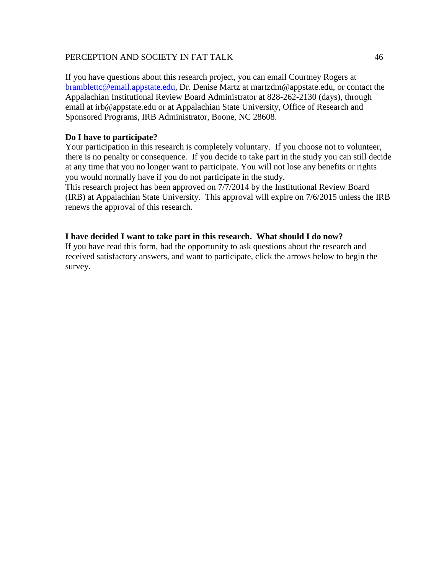If you have questions about this research project, you can email Courtney Rogers at [bramblettc@email.appstate.edu,](mailto:bramblettc@email.appstate.edu) Dr. Denise Martz at martzdm@appstate.edu, or contact the Appalachian Institutional Review Board Administrator at 828-262-2130 (days), through email at irb@appstate.edu or at Appalachian State University, Office of Research and Sponsored Programs, IRB Administrator, Boone, NC 28608.

### **Do I have to participate?**

Your participation in this research is completely voluntary. If you choose not to volunteer, there is no penalty or consequence. If you decide to take part in the study you can still decide at any time that you no longer want to participate. You will not lose any benefits or rights you would normally have if you do not participate in the study.

This research project has been approved on 7/7/2014 by the Institutional Review Board (IRB) at Appalachian State University. This approval will expire on 7/6/2015 unless the IRB renews the approval of this research.

### **I have decided I want to take part in this research. What should I do now?**

If you have read this form, had the opportunity to ask questions about the research and received satisfactory answers, and want to participate, click the arrows below to begin the survey.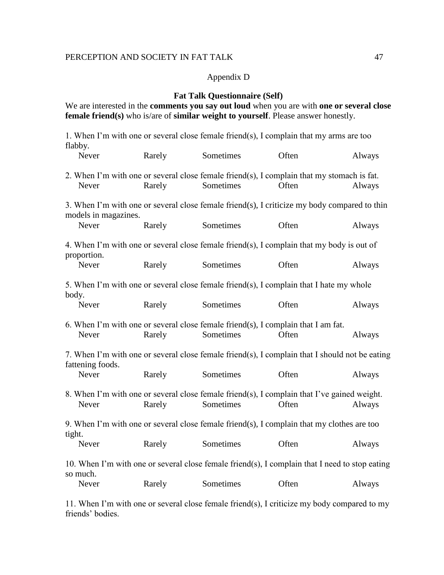#### Appendix D

### **Fat Talk Questionnaire (Self)**

We are interested in the **comments you say out loud** when you are with **one or several close female friend(s)** who is/are of **similar weight to yourself**. Please answer honestly.

1. When I'm with one or several close female friend(s), I complain that my arms are too flabby. Never Rarely Sometimes Often Always 2. When I'm with one or several close female friend(s), I complain that my stomach is fat. Never Rarely Sometimes Often Always 3. When I'm with one or several close female friend(s), I criticize my body compared to thin models in magazines. Never Rarely Sometimes Often Always 4. When I'm with one or several close female friend(s), I complain that my body is out of proportion. Never Rarely Sometimes Often Always 5. When I'm with one or several close female friend(s), I complain that I hate my whole body. Never Rarely Sometimes Often Always 6. When I'm with one or several close female friend(s), I complain that I am fat. Never Rarely Sometimes Often Always 7. When I'm with one or several close female friend(s), I complain that I should not be eating fattening foods. Never Rarely Sometimes Often Always 8. When I'm with one or several close female friend(s), I complain that I've gained weight. Never Rarely Sometimes Often Always 9. When I'm with one or several close female friend(s), I complain that my clothes are too tight. Never Rarely Sometimes Often Always 10. When I'm with one or several close female friend(s), I complain that I need to stop eating so much. Never Rarely Sometimes Often Always

11. When I'm with one or several close female friend(s), I criticize my body compared to my friends' bodies.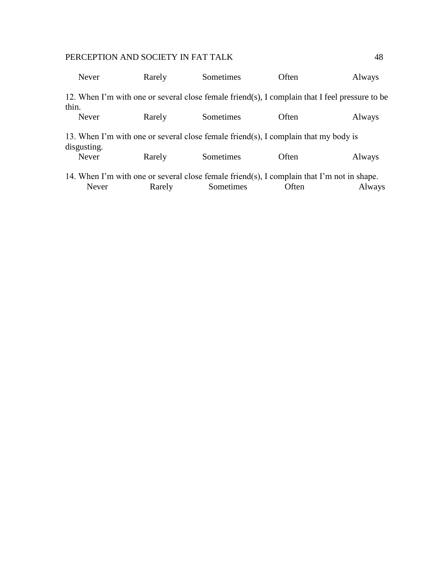| Never        | Rarely | Sometimes                                                                                      | Often | Always |
|--------------|--------|------------------------------------------------------------------------------------------------|-------|--------|
| thin.        |        | 12. When I'm with one or several close female friend(s), I complain that I feel pressure to be |       |        |
| Never        | Rarely | Sometimes                                                                                      | Often | Always |
| disgusting.  |        | 13. When I'm with one or several close female friend(s), I complain that my body is            |       |        |
| <b>Never</b> | Rarely | Sometimes                                                                                      | Often | Always |
|              |        | 14. When I'm with one or several close female friend(s), I complain that I'm not in shape.     |       |        |
| Never        | Rarely | Sometimes                                                                                      | Often | Always |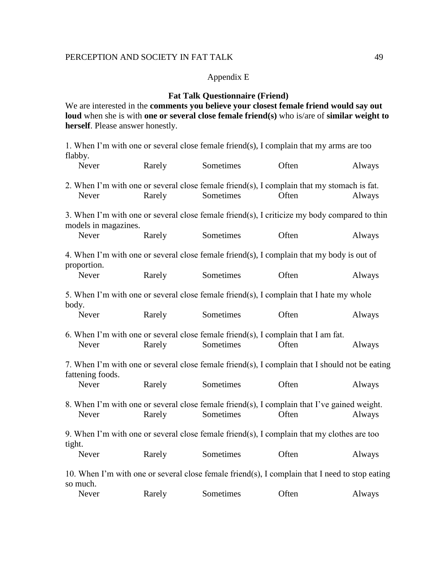### Appendix E

## **Fat Talk Questionnaire (Friend)**

We are interested in the **comments you believe your closest female friend would say out loud** when she is with **one or several close female friend(s)** who is/are of **similar weight to herself**. Please answer honestly.

1. When I'm with one or several close female friend(s), I complain that my arms are too flabby.<br>Nev Devely Sometimes Often Alv

|        | Never                | Rarely | Sometimes                                                                                                | Utten | Always |
|--------|----------------------|--------|----------------------------------------------------------------------------------------------------------|-------|--------|
|        | Never                | Rarely | 2. When I'm with one or several close female friend(s), I complain that my stomach is fat.<br>Sometimes  | Often | Always |
|        | models in magazines. |        | 3. When I'm with one or several close female friend(s), I criticize my body compared to thin             |       |        |
|        | Never                | Rarely | Sometimes                                                                                                | Often | Always |
|        | proportion.          |        | 4. When I'm with one or several close female friend(s), I complain that my body is out of                |       |        |
|        | Never                | Rarely | Sometimes                                                                                                | Often | Always |
|        | body.                |        | 5. When I'm with one or several close female friend(s), I complain that I hate my whole                  |       |        |
|        | Never                | Rarely | Sometimes                                                                                                | Often | Always |
|        | Never                | Rarely | 6. When I'm with one or several close female friend(s), I complain that I am fat.<br>Sometimes           | Often | Always |
|        | fattening foods.     |        | 7. When I'm with one or several close female friend(s), I complain that I should not be eating           |       |        |
|        | Never                | Rarely | Sometimes                                                                                                | Often | Always |
|        | Never                | Rarely | 8. When I'm with one or several close female friend(s), I complain that I've gained weight.<br>Sometimes | Often | Always |
|        |                      |        | 9. When I'm with one or several close female friend(s), I complain that my clothes are too               |       |        |
| tight. | Never                | Rarely | Sometimes                                                                                                | Often | Always |
|        | so much.             |        | 10. When I'm with one or several close female friend(s), I complain that I need to stop eating           |       |        |
|        | Never                | Rarely | Sometimes                                                                                                | Often | Always |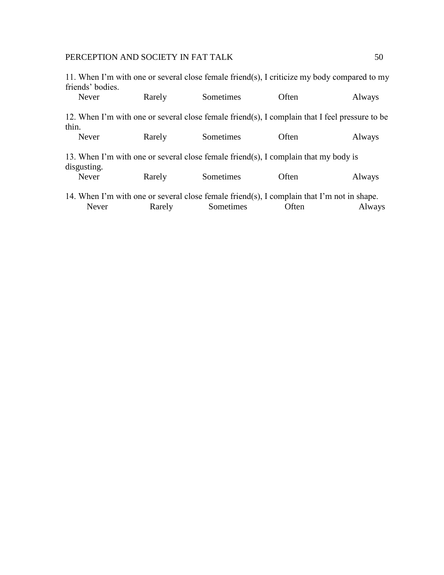11. When I'm with one or several close female friend(s), I criticize my body compared to my friends' bodies.

| Never       | Rarely | Sometimes                                                                                      | Often | Always |
|-------------|--------|------------------------------------------------------------------------------------------------|-------|--------|
| thin.       |        | 12. When I'm with one or several close female friend(s), I complain that I feel pressure to be |       |        |
| Never       | Rarely | Sometimes                                                                                      | Often | Always |
| disgusting. |        | 13. When I'm with one or several close female friend(s), I complain that my body is            |       |        |
| Never       | Rarely | Sometimes                                                                                      | Often | Always |
|             |        | 14. When I'm with one or several close female friend(s), I complain that I'm not in shape.     |       |        |
| Never       | Rarely | Sometimes                                                                                      | Often | Always |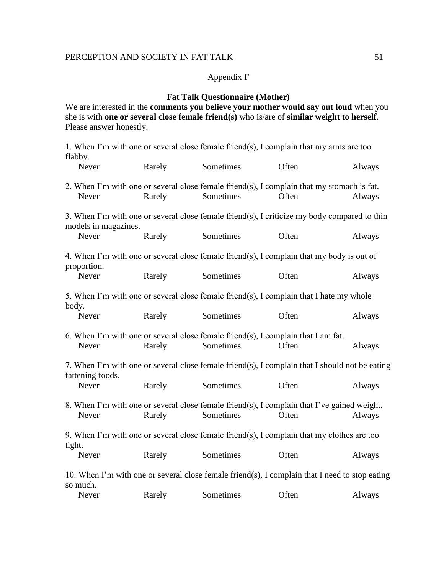# Appendix F

## **Fat Talk Questionnaire (Mother)**

We are interested in the **comments you believe your mother would say out loud** when you she is with **one or several close female friend(s)** who is/are of **similar weight to herself**. Please answer honestly.

1. When I'm with one or several close female friend(s), I complain that my arms are too flabby.<br>Never

|        | Never                | Rarely | Sometimes                                                                                                | Often | Always |
|--------|----------------------|--------|----------------------------------------------------------------------------------------------------------|-------|--------|
|        | Never                | Rarely | 2. When I'm with one or several close female friend(s), I complain that my stomach is fat.<br>Sometimes  | Often | Always |
|        | models in magazines. |        | 3. When I'm with one or several close female friend(s), I criticize my body compared to thin             |       |        |
|        | Never                | Rarely | Sometimes                                                                                                | Often | Always |
|        | proportion.          |        | 4. When I'm with one or several close female friend(s), I complain that my body is out of                |       |        |
|        | Never                | Rarely | Sometimes                                                                                                | Often | Always |
| body.  |                      |        | 5. When I'm with one or several close female friend(s), I complain that I hate my whole                  |       |        |
|        | Never                | Rarely | Sometimes                                                                                                | Often | Always |
|        | Never                | Rarely | 6. When I'm with one or several close female friend(s), I complain that I am fat.<br>Sometimes           | Often | Always |
|        | fattening foods.     |        | 7. When I'm with one or several close female friend(s), I complain that I should not be eating           |       |        |
|        | Never                | Rarely | Sometimes                                                                                                | Often | Always |
|        | Never                | Rarely | 8. When I'm with one or several close female friend(s), I complain that I've gained weight.<br>Sometimes | Often | Always |
|        |                      |        | 9. When I'm with one or several close female friend(s), I complain that my clothes are too               |       |        |
| tight. | Never                | Rarely | Sometimes                                                                                                | Often | Always |
|        | so much.             |        | 10. When I'm with one or several close female friend(s), I complain that I need to stop eating           |       |        |
|        | Never                | Rarely | Sometimes                                                                                                | Often | Always |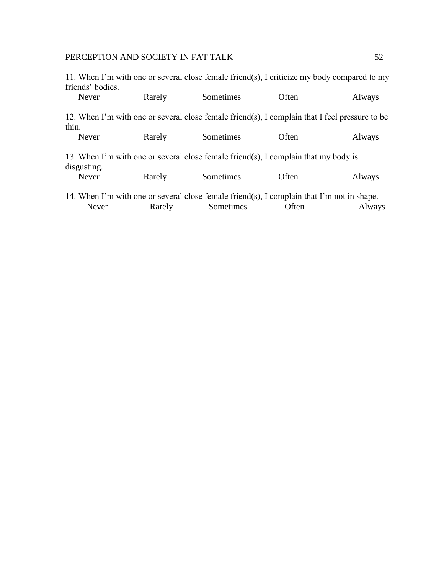11. When I'm with one or several close female friend(s), I criticize my body compared to my friends' bodies.

| Never       | Rarely | Sometimes                                                                                      | Often | Always |
|-------------|--------|------------------------------------------------------------------------------------------------|-------|--------|
| thin.       |        | 12. When I'm with one or several close female friend(s), I complain that I feel pressure to be |       |        |
| Never       | Rarely | Sometimes                                                                                      | Often | Always |
| disgusting. |        | 13. When I'm with one or several close female friend(s), I complain that my body is            |       |        |
| Never       | Rarely | Sometimes                                                                                      | Often | Always |
|             |        | 14. When I'm with one or several close female friend(s), I complain that I'm not in shape.     |       |        |
| Never       | Rarely | Sometimes                                                                                      | Often | Always |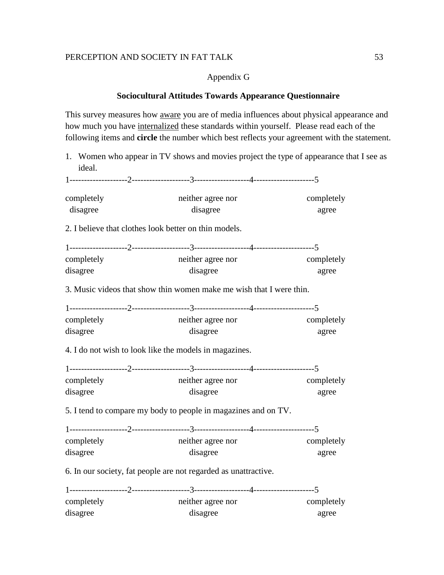## Appendix G

### **Sociocultural Attitudes Towards Appearance Questionnaire**

This survey measures how aware you are of media influences about physical appearance and how much you have internalized these standards within yourself. Please read each of the following items and **circle** the number which best reflects your agreement with the statement.

1. Women who appear in TV shows and movies project the type of appearance that I see as ideal.

1--------------------2--------------------3-------------------4---------------------5

| completely | neither agree nor                                                   | completely |
|------------|---------------------------------------------------------------------|------------|
| disagree   | disagree                                                            | agree      |
|            | 2. I believe that clothes look better on thin models.               |            |
|            |                                                                     |            |
| completely | neither agree nor                                                   | completely |
| disagree   | disagree                                                            | agree      |
|            | 3. Music videos that show thin women make me wish that I were thin. |            |
|            |                                                                     |            |
| completely | neither agree nor                                                   | completely |
| disagree   | disagree                                                            | agree      |
|            | 4. I do not wish to look like the models in magazines.              |            |
|            |                                                                     |            |
| completely | neither agree nor                                                   | completely |
| disagree   | disagree                                                            | agree      |
|            | 5. I tend to compare my body to people in magazines and on TV.      |            |
|            |                                                                     |            |
| completely | neither agree nor                                                   | completely |
| disagree   | disagree                                                            | agree      |
|            | 6. In our society, fat people are not regarded as unattractive.     |            |
|            |                                                                     |            |
| completely | neither agree nor                                                   | completely |
| disagree   | disagree                                                            | agree      |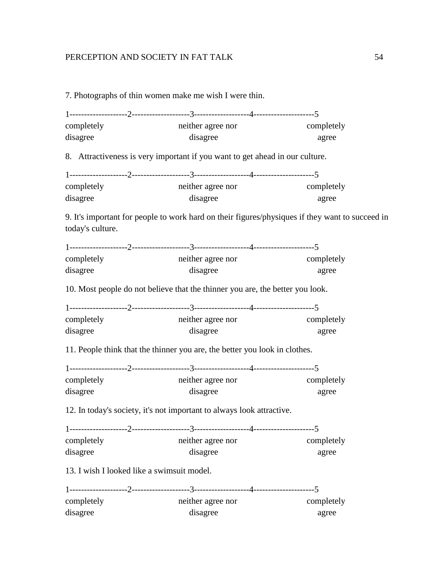7. Photographs of thin women make me wish I were thin.

| completely | neither agree nor | completely |
|------------|-------------------|------------|
| disagree   | disagree          | agree      |

8. Attractiveness is very important if you want to get ahead in our culture.

| completely | neither agree nor | completely |
|------------|-------------------|------------|
|            |                   |            |
| disagree   | disagree          | agree      |

9. It's important for people to work hard on their figures/physiques if they want to succeed in today's culture.

| completely | neither agree nor                                                             | completely |
|------------|-------------------------------------------------------------------------------|------------|
| disagree   | disagree                                                                      | agree      |
|            | 10. Most people do not believe that the thinner you are, the better you look. |            |
|            |                                                                               |            |
| completely | neither agree nor                                                             | completely |
| disagree   | disagree                                                                      | agree      |
|            | 11. People think that the thinner you are, the better you look in clothes.    |            |
|            |                                                                               |            |
| completely | neither agree nor                                                             | completely |
| disagree   | disagree                                                                      | agree      |
|            | 12. In today's society, it's not important to always look attractive.         |            |
|            |                                                                               |            |
|            | completely completely neither agree nor completely                            |            |

| completely | neither agree nor | completely |
|------------|-------------------|------------|
| disagree   | disagree          | agree      |

13. I wish I looked like a swimsuit model.

| completely | neither agree nor |  | completely |
|------------|-------------------|--|------------|
| disagree   | disagree          |  | agree      |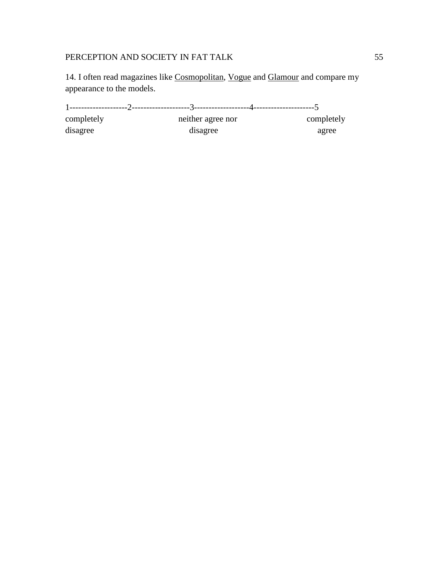14. I often read magazines like Cosmopolitan, Vogue and Glamour and compare my appearance to the models.

1--------------------2--------------------3-------------------4---------------------5 completely neither agree nor completely disagree disagree agree